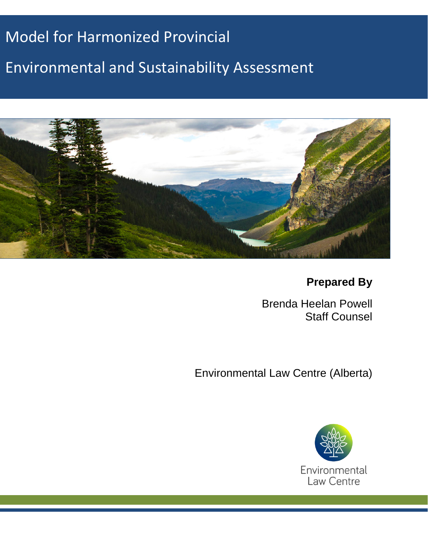# Model for Harmonized Provincial

# Environmental and Sustainability Assessment



**Prepared By**

Brenda Heelan Powell Staff Counsel

Environmental Law Centre (Alberta)

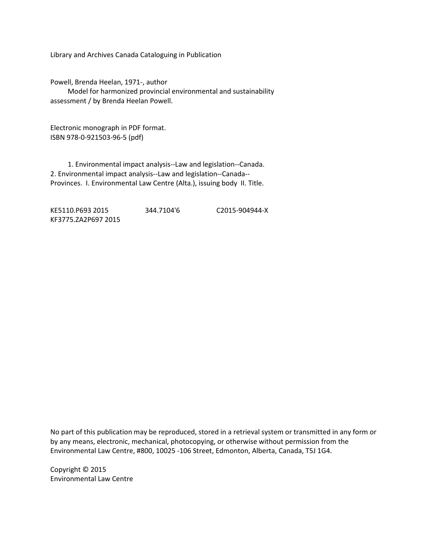Library and Archives Canada Cataloguing in Publication

Powell, Brenda Heelan, 1971-, author Model for harmonized provincial environmental and sustainability assessment / by Brenda Heelan Powell.

Electronic monograph in PDF format. ISBN 978-0-921503-96-5 (pdf)

 1. Environmental impact analysis--Law and legislation--Canada. 2. Environmental impact analysis--Law and legislation--Canada-- Provinces. I. Environmental Law Centre (Alta.), issuing body II. Title.

KE5110.P693 2015 344.7104'6 C2015-904944-X KF3775.ZA2P697 2015

No part of this publication may be reproduced, stored in a retrieval system or transmitted in any form or by any means, electronic, mechanical, photocopying, or otherwise without permission from the Environmental Law Centre, #800, 10025 -106 Street, Edmonton, Alberta, Canada, T5J 1G4.

Copyright © 2015 Environmental Law Centre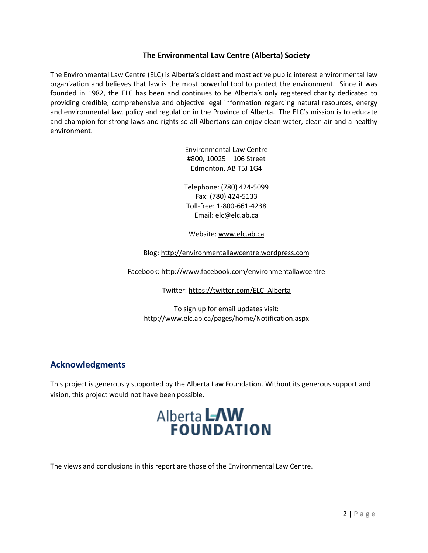#### **The Environmental Law Centre (Alberta) Society**

The Environmental Law Centre (ELC) is Alberta's oldest and most active public interest environmental law organization and believes that law is the most powerful tool to protect the environment. Since it was founded in 1982, the ELC has been and continues to be Alberta's only registered charity dedicated to providing credible, comprehensive and objective legal information regarding natural resources, energy and environmental law, policy and regulation in the Province of Alberta. The ELC's mission is to educate and champion for strong laws and rights so all Albertans can enjoy clean water, clean air and a healthy environment.

> Environmental Law Centre #800, 10025 – 106 Street Edmonton, AB T5J 1G4

Telephone: (780) 424-5099 Fax: (780) 424-5133 Toll-free: 1-800-661-4238 Email: elc@elc.ab.ca

Website[: www.elc.ab.ca](http://www.elc.ab.ca/)

Blog: [http://environmentallawcentre.wordpress.com](http://environmentallawcentre.wordpress.com/)

Facebook:<http://www.facebook.com/environmentallawcentre>

Twitter: [https://twitter.com/ELC\\_Alberta](https://twitter.com/ELC_Alberta)

To sign up for email updates visit: http://www.elc.ab.ca/pages/home/Notification.aspx

# **Acknowledgments**

This project is generously supported by the Alberta Law Foundation. Without its generous support and vision, this project would not have been possible.

# **AlbertaLAW<br>FOUNDATION**

The views and conclusions in this report are those of the Environmental Law Centre.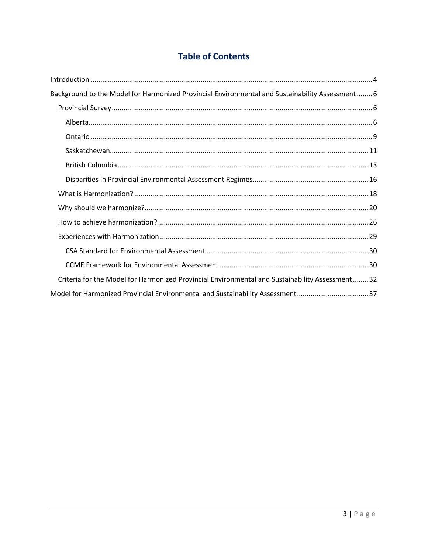# **Table of Contents**

| Background to the Model for Harmonized Provincial Environmental and Sustainability Assessment 6  |
|--------------------------------------------------------------------------------------------------|
|                                                                                                  |
|                                                                                                  |
|                                                                                                  |
|                                                                                                  |
|                                                                                                  |
|                                                                                                  |
|                                                                                                  |
|                                                                                                  |
|                                                                                                  |
|                                                                                                  |
|                                                                                                  |
|                                                                                                  |
| Criteria for the Model for Harmonized Provincial Environmental and Sustainability Assessment  32 |
| Model for Harmonized Provincial Environmental and Sustainability Assessment37                    |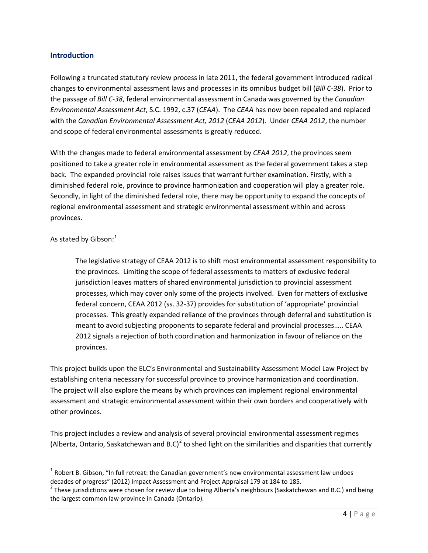#### <span id="page-4-0"></span>**Introduction**

Following a truncated statutory review process in late 2011, the federal government introduced radical changes to environmental assessment laws and processes in its omnibus budget bill (*Bill C-38*). Prior to the passage of *Bill C-38*, federal environmental assessment in Canada was governed by the *Canadian Environmental Assessment Act*, S.C. 1992, c.37 (*CEAA*). The *CEAA* has now been repealed and replaced with the *Canadian Environmental Assessment Act, 2012* (*CEAA 2012*). Under *CEAA 2012*, the number and scope of federal environmental assessments is greatly reduced.

With the changes made to federal environmental assessment by *CEAA 2012*, the provinces seem positioned to take a greater role in environmental assessment as the federal government takes a step back. The expanded provincial role raises issues that warrant further examination. Firstly, with a diminished federal role, province to province harmonization and cooperation will play a greater role. Secondly, in light of the diminished federal role, there may be opportunity to expand the concepts of regional environmental assessment and strategic environmental assessment within and across provinces.

As stated by Gibson: $<sup>1</sup>$  $<sup>1</sup>$  $<sup>1</sup>$ </sup>

The legislative strategy of CEAA 2012 is to shift most environmental assessment responsibility to the provinces. Limiting the scope of federal assessments to matters of exclusive federal jurisdiction leaves matters of shared environmental jurisdiction to provincial assessment processes, which may cover only some of the projects involved. Even for matters of exclusive federal concern, CEAA 2012 (ss. 32-37) provides for substitution of 'appropriate' provincial processes. This greatly expanded reliance of the provinces through deferral and substitution is meant to avoid subjecting proponents to separate federal and provincial processes.…. CEAA 2012 signals a rejection of both coordination and harmonization in favour of reliance on the provinces.

This project builds upon the ELC's Environmental and Sustainability Assessment Model Law Project by establishing criteria necessary for successful province to province harmonization and coordination. The project will also explore the means by which provinces can implement regional environmental assessment and strategic environmental assessment within their own borders and cooperatively with other provinces.

This project includes a review and analysis of several provincial environmental assessment regimes (Alberta, Ontario, Saskatchewan and B.C)<sup>[2](#page-4-2)</sup> to shed light on the similarities and disparities that currently

<span id="page-4-1"></span> $1$  Robert B. Gibson, "In full retreat: the Canadian government's new environmental assessment law undoes

<span id="page-4-2"></span>decades of progress" (2012) Impact Assessment and Project Appraisal 179 at 184 to 185.<br><sup>2</sup> These jurisdictions were chosen for review due to being Alberta's neighbours (Saskatchewan and B.C.) and being the largest common law province in Canada (Ontario).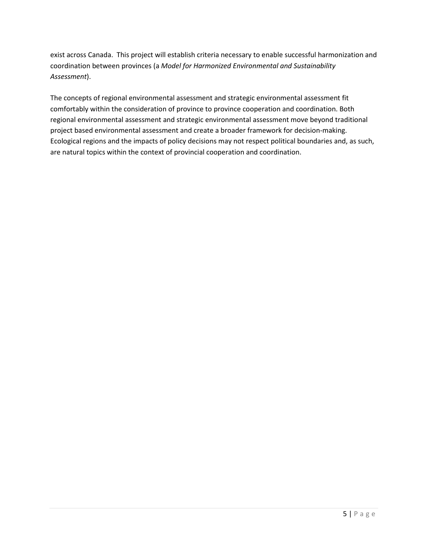exist across Canada. This project will establish criteria necessary to enable successful harmonization and coordination between provinces (a *Model for Harmonized Environmental and Sustainability Assessment*).

The concepts of regional environmental assessment and strategic environmental assessment fit comfortably within the consideration of province to province cooperation and coordination. Both regional environmental assessment and strategic environmental assessment move beyond traditional project based environmental assessment and create a broader framework for decision-making. Ecological regions and the impacts of policy decisions may not respect political boundaries and, as such, are natural topics within the context of provincial cooperation and coordination.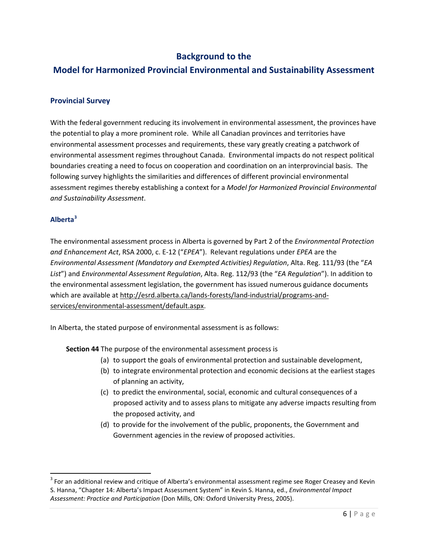## **Background to the**

# <span id="page-6-0"></span>**Model for Harmonized Provincial Environmental and Sustainability Assessment**

#### <span id="page-6-1"></span>**Provincial Survey**

With the federal government reducing its involvement in environmental assessment, the provinces have the potential to play a more prominent role. While all Canadian provinces and territories have environmental assessment processes and requirements, these vary greatly creating a patchwork of environmental assessment regimes throughout Canada. Environmental impacts do not respect political boundaries creating a need to focus on cooperation and coordination on an interprovincial basis. The following survey highlights the similarities and differences of different provincial environmental assessment regimes thereby establishing a context for a *Model for Harmonized Provincial Environmental and Sustainability Assessment*.

#### <span id="page-6-2"></span>**Alberta[3](#page-6-3)**

The environmental assessment process in Alberta is governed by Part 2 of the *Environmental Protection and Enhancement Act*, RSA 2000, c. E-12 ("*EPEA*"). Relevant regulations under *EPEA* are the *Environmental Assessment (Mandatory and Exempted Activities) Regulation*, Alta. Reg. 111/93 (the "*EA List*") and *Environmental Assessment Regulation*, Alta. Reg. 112/93 (the "*EA Regulation*"). In addition to the environmental assessment legislation, the government has issued numerous guidance documents which are available a[t http://esrd.alberta.ca/lands-forests/land-industrial/programs-and](http://esrd.alberta.ca/lands-forests/land-industrial/programs-and-services/environmental-assessment/default.aspx)[services/environmental-assessment/default.aspx.](http://esrd.alberta.ca/lands-forests/land-industrial/programs-and-services/environmental-assessment/default.aspx)

In Alberta, the stated purpose of environmental assessment is as follows:

**Section 44** The purpose of the environmental assessment process is

- (a) to support the goals of environmental protection and sustainable development,
- (b) to integrate environmental protection and economic decisions at the earliest stages of planning an activity,
- (c) to predict the environmental, social, economic and cultural consequences of a proposed activity and to assess plans to mitigate any adverse impacts resulting from the proposed activity, and
- (d) to provide for the involvement of the public, proponents, the Government and Government agencies in the review of proposed activities.

<span id="page-6-3"></span><sup>&</sup>lt;sup>3</sup> For an additional review and critique of Alberta's environmental assessment regime see Roger Creasey and Kevin S. Hanna, "Chapter 14: Alberta's Impact Assessment System" in Kevin S. Hanna, ed., *Environmental Impact Assessment: Practice and Participation* (Don Mills, ON: Oxford University Press, 2005).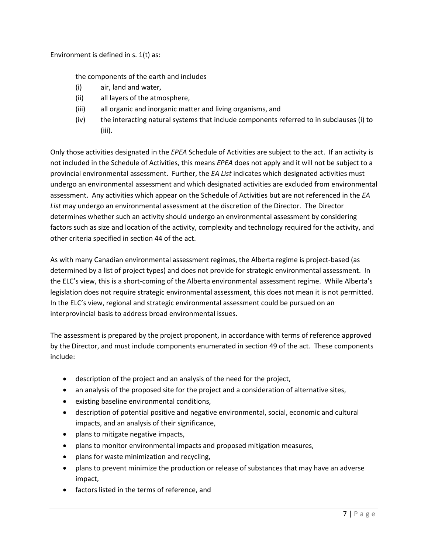Environment is defined in s. 1(t) as:

the components of the earth and includes

- (i) air, land and water,
- (ii) all layers of the atmosphere,
- (iii) all organic and inorganic matter and living organisms, and
- (iv) the interacting natural systems that include components referred to in subclauses (i) to (iii).

Only those activities designated in the *EPEA* Schedule of Activities are subject to the act. If an activity is not included in the Schedule of Activities, this means *EPEA* does not apply and it will not be subject to a provincial environmental assessment. Further, the *EA List* indicates which designated activities must undergo an environmental assessment and which designated activities are excluded from environmental assessment. Any activities which appear on the Schedule of Activities but are not referenced in the *EA List* may undergo an environmental assessment at the discretion of the Director. The Director determines whether such an activity should undergo an environmental assessment by considering factors such as size and location of the activity, complexity and technology required for the activity, and other criteria specified in section 44 of the act.

As with many Canadian environmental assessment regimes, the Alberta regime is project-based (as determined by a list of project types) and does not provide for strategic environmental assessment. In the ELC's view, this is a short-coming of the Alberta environmental assessment regime. While Alberta's legislation does not require strategic environmental assessment, this does not mean it is not permitted. In the ELC's view, regional and strategic environmental assessment could be pursued on an interprovincial basis to address broad environmental issues.

The assessment is prepared by the project proponent, in accordance with terms of reference approved by the Director, and must include components enumerated in section 49 of the act. These components include:

- description of the project and an analysis of the need for the project,
- an analysis of the proposed site for the project and a consideration of alternative sites,
- existing baseline environmental conditions,
- description of potential positive and negative environmental, social, economic and cultural impacts, and an analysis of their significance,
- plans to mitigate negative impacts,
- plans to monitor environmental impacts and proposed mitigation measures,
- plans for waste minimization and recycling,
- plans to prevent minimize the production or release of substances that may have an adverse impact,
- factors listed in the terms of reference, and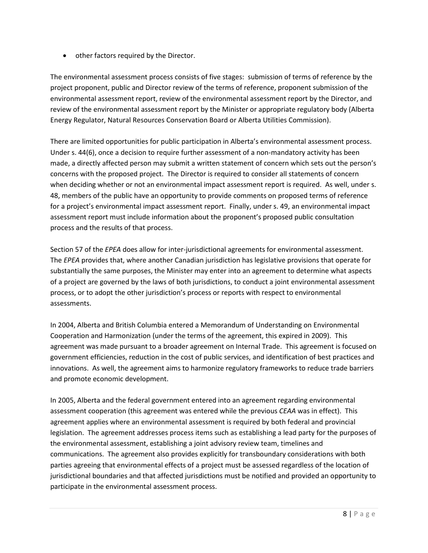• other factors required by the Director.

The environmental assessment process consists of five stages: submission of terms of reference by the project proponent, public and Director review of the terms of reference, proponent submission of the environmental assessment report, review of the environmental assessment report by the Director, and review of the environmental assessment report by the Minister or appropriate regulatory body (Alberta Energy Regulator, Natural Resources Conservation Board or Alberta Utilities Commission).

There are limited opportunities for public participation in Alberta's environmental assessment process. Under s. 44(6), once a decision to require further assessment of a non-mandatory activity has been made, a directly affected person may submit a written statement of concern which sets out the person's concerns with the proposed project. The Director is required to consider all statements of concern when deciding whether or not an environmental impact assessment report is required. As well, under s. 48, members of the public have an opportunity to provide comments on proposed terms of reference for a project's environmental impact assessment report. Finally, under s. 49, an environmental impact assessment report must include information about the proponent's proposed public consultation process and the results of that process.

Section 57 of the *EPEA* does allow for inter-jurisdictional agreements for environmental assessment. The *EPEA* provides that, where another Canadian jurisdiction has legislative provisions that operate for substantially the same purposes, the Minister may enter into an agreement to determine what aspects of a project are governed by the laws of both jurisdictions, to conduct a joint environmental assessment process, or to adopt the other jurisdiction's process or reports with respect to environmental assessments.

In 2004, Alberta and British Columbia entered a Memorandum of Understanding on Environmental Cooperation and Harmonization (under the terms of the agreement, this expired in 2009). This agreement was made pursuant to a broader agreement on Internal Trade. This agreement is focused on government efficiencies, reduction in the cost of public services, and identification of best practices and innovations. As well, the agreement aims to harmonize regulatory frameworks to reduce trade barriers and promote economic development.

In 2005, Alberta and the federal government entered into an agreement regarding environmental assessment cooperation (this agreement was entered while the previous *CEAA* was in effect). This agreement applies where an environmental assessment is required by both federal and provincial legislation. The agreement addresses process items such as establishing a lead party for the purposes of the environmental assessment, establishing a joint advisory review team, timelines and communications. The agreement also provides explicitly for transboundary considerations with both parties agreeing that environmental effects of a project must be assessed regardless of the location of jurisdictional boundaries and that affected jurisdictions must be notified and provided an opportunity to participate in the environmental assessment process.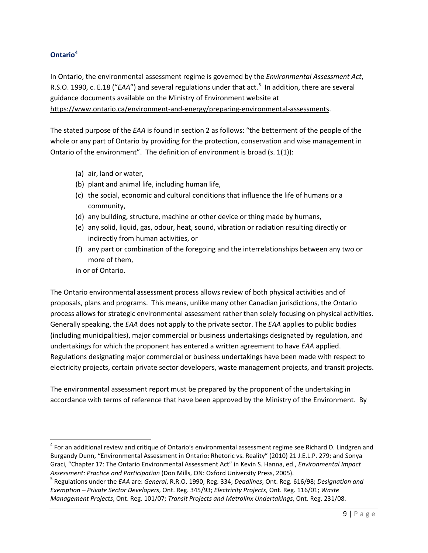#### <span id="page-9-0"></span>**Ontario[4](#page-9-1)**

In Ontario, the environmental assessment regime is governed by the *Environmental Assessment Act*, R.S.O. 1990, c. E.18 ("EAA") and several regulations under that act.<sup>[5](#page-9-2)</sup> In addition, there are several guidance documents available on the Ministry of Environment website at [https://www.ontario.ca/environment-and-energy/preparing-environmental-assessments.](https://www.ontario.ca/environment-and-energy/preparing-environmental-assessments)

The stated purpose of the *EAA* is found in section 2 as follows: "the betterment of the people of the whole or any part of Ontario by providing for the protection, conservation and wise management in Ontario of the environment". The definition of environment is broad (s. 1(1)):

- (a) air, land or water,
- (b) plant and animal life, including human life,
- (c) the social, economic and cultural conditions that influence the life of humans or a community,
- (d) any building, structure, machine or other device or thing made by humans,
- (e) any solid, liquid, gas, odour, heat, sound, vibration or radiation resulting directly or indirectly from human activities, or
- (f) any part or combination of the foregoing and the interrelationships between any two or more of them,

in or of Ontario.

The Ontario environmental assessment process allows review of both physical activities and of proposals, plans and programs. This means, unlike many other Canadian jurisdictions, the Ontario process allows for strategic environmental assessment rather than solely focusing on physical activities. Generally speaking, the *EAA* does not apply to the private sector. The *EAA* applies to public bodies (including municipalities), major commercial or business undertakings designated by regulation, and undertakings for which the proponent has entered a written agreement to have *EAA* applied. Regulations designating major commercial or business undertakings have been made with respect to electricity projects, certain private sector developers, waste management projects, and transit projects.

The environmental assessment report must be prepared by the proponent of the undertaking in accordance with terms of reference that have been approved by the Ministry of the Environment. By

<span id="page-9-1"></span> $4$  For an additional review and critique of Ontario's environmental assessment regime see Richard D. Lindgren and Burgandy Dunn, "Environmental Assessment in Ontario: Rhetoric vs. Reality" (2010) 21 J.E.L.P. 279; and Sonya Graci, "Chapter 17: The Ontario Environmental Assessment Act" in Kevin S. Hanna, ed., *Environmental Impact* 

<span id="page-9-2"></span>Assessment: Practice and Participation (Don Mills, ON: Oxford University Press, 2005).<br><sup>5</sup> Regulations under the EAA are: General, R.R.O. 1990, Reg. 334; Deadlines, Ont. Reg. 616/98; Designation and *Exemption – Private Sector Developers*, Ont. Reg. 345/93; *Electricity Projects*, Ont. Reg. 116/01; *Waste Management Projects*, Ont. Reg. 101/07; *Transit Projects and Metrolinx Undertakings*, Ont. Reg. 231/08.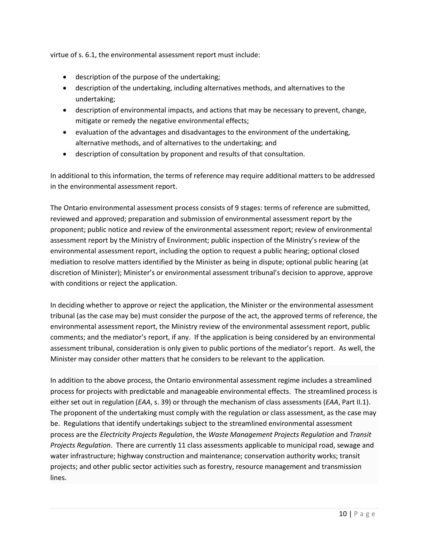virtue of s. 6.1, the environmental assessment report must include:

- description of the purpose of the undertaking;
- description of the undertaking, including alternatives methods, and alternatives to the undertaking;
- description of environmental impacts, and actions that may be necessary to prevent, change, mitigate or remedy the negative environmental effects;
- evaluation of the advantages and disadvantages to the environment of the undertaking, alternative methods, and of alternatives to the undertaking; and
- description of consultation by proponent and results of that consultation.

In additional to this information, the terms of reference may require additional matters to be addressed in the environmental assessment report.

The Ontario environmental assessment process consists of 9 stages: terms of reference are submitted, reviewed and approved; preparation and submission of environmental assessment report by the proponent; public notice and review of the environmental assessment report; review of environmental assessment report by the Ministry of Environment; public inspection of the Ministry's review of the environmental assessment report, including the option to request a public hearing; optional closed mediation to resolve matters identified by the Minister as being in dispute; optional public hearing (at discretion of Minister); Minister's or environmental assessment tribunal's decision to approve, approve with conditions or reject the application.

In deciding whether to approve or reject the application, the Minister or the environmental assessment tribunal (as the case may be) must consider the purpose of the act, the approved terms of reference, the environmental assessment report, the Ministry review of the environmental assessment report, public comments; and the mediator's report, if any. If the application is being considered by an environmental assessment tribunal, consideration is only given to public portions of the mediator's report. As well, the Minister may consider other matters that he considers to be relevant to the application.

In addition to the above process, the Ontario environmental assessment regime includes a streamlined process for projects with predictable and manageable environmental effects. The streamlined process is either set out in regulation (*EAA*, s. 39) or through the mechanism of class assessments (*EAA*, Part II.1). The proponent of the undertaking must comply with the regulation or class assessment, as the case may be. Regulations that identify undertakings subject to the streamlined environmental assessment process are the *Electricity Projects Regulation*, the *Waste Management Projects Regulation* and *Transit Projects Regulation*. There are currently 11 class assessments applicable to municipal road, sewage and water infrastructure; highway construction and maintenance; conservation authority works; transit projects; and other public sector activities such as forestry, resource management and transmission lines.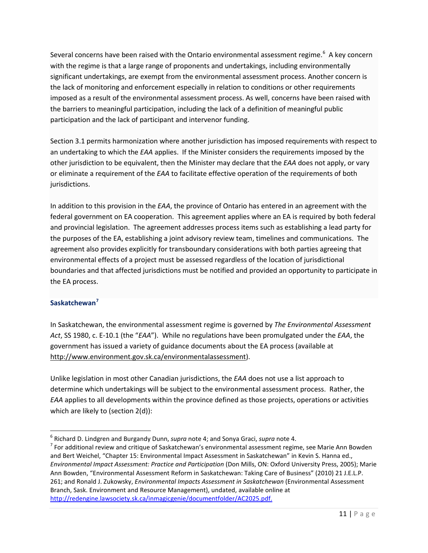Several concerns have been raised with the Ontario environmental assessment regime.<sup>[6](#page-11-1)</sup> A key concern with the regime is that a large range of proponents and undertakings, including environmentally significant undertakings, are exempt from the environmental assessment process. Another concern is the lack of monitoring and enforcement especially in relation to conditions or other requirements imposed as a result of the environmental assessment process. As well, concerns have been raised with the barriers to meaningful participation, including the lack of a definition of meaningful public participation and the lack of participant and intervenor funding.

Section 3.1 permits harmonization where another jurisdiction has imposed requirements with respect to an undertaking to which the *EAA* applies. If the Minister considers the requirements imposed by the other jurisdiction to be equivalent, then the Minister may declare that the *EAA* does not apply, or vary or eliminate a requirement of the *EAA* to facilitate effective operation of the requirements of both jurisdictions.

In addition to this provision in the *EAA*, the province of Ontario has entered in an agreement with the federal government on EA cooperation. This agreement applies where an EA is required by both federal and provincial legislation. The agreement addresses process items such as establishing a lead party for the purposes of the EA, establishing a joint advisory review team, timelines and communications. The agreement also provides explicitly for transboundary considerations with both parties agreeing that environmental effects of a project must be assessed regardless of the location of jurisdictional boundaries and that affected jurisdictions must be notified and provided an opportunity to participate in the EA process.

#### <span id="page-11-0"></span>**Saskatchewan[7](#page-11-2)**

In Saskatchewan, the environmental assessment regime is governed by *The Environmental Assessment Act*, SS 1980, c. E-10.1 (the "*EAA*"). While no regulations have been promulgated under the *EAA*, the government has issued a variety of guidance documents about the EA process (available at [http://www.environment.gov.sk.ca/environmentalassessment\)](http://www.environment.gov.sk.ca/environmentalassessment).

Unlike legislation in most other Canadian jurisdictions, the *EAA* does not use a list approach to determine which undertakings will be subject to the environmental assessment process. Rather, the *EAA* applies to all developments within the province defined as those projects, operations or activities which are likely to (section 2(d)):

<span id="page-11-2"></span><span id="page-11-1"></span><sup>&</sup>lt;sup>6</sup> Richard D. Lindgren and Burgandy Dunn, *supra* note 4; and Sonya Graci, *supra* note 4.<br><sup>7</sup> For additional review and critique of Saskatchewan's environmental assessment regime, see Marie Ann Bowden and Bert Weichel, "Chapter 15: Environmental Impact Assessment in Saskatchewan" in Kevin S. Hanna ed., *Environmental Impact Assessment: Practice and Participation* (Don Mills, ON: Oxford University Press, 2005); Marie Ann Bowden, "Environmental Assessment Reform in Saskatchewan: Taking Care of Business" (2010) 21 J.E.L.P. 261; and Ronald J. Zukowsky, *Environmental Impacts Assessment in Saskatchewan* (Environmental Assessment Branch, Sask. Environment and Resource Management), undated, available online at [http://redengine.lawsociety.sk.ca/inmagicgenie/documentfolder/AC2025.pdf.](http://redengine.lawsociety.sk.ca/inmagicgenie/documentfolder/AC2025.pdf)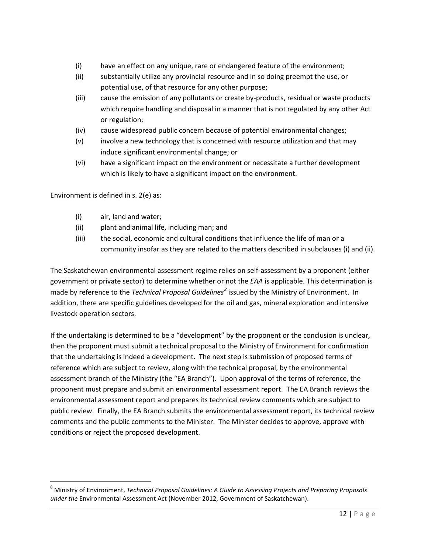- (i) have an effect on any unique, rare or endangered feature of the environment;
- (ii) substantially utilize any provincial resource and in so doing preempt the use, or potential use, of that resource for any other purpose;
- (iii) cause the emission of any pollutants or create by-products, residual or waste products which require handling and disposal in a manner that is not regulated by any other Act or regulation;
- (iv) cause widespread public concern because of potential environmental changes;
- (v) involve a new technology that is concerned with resource utilization and that may induce significant environmental change; or
- (vi) have a significant impact on the environment or necessitate a further development which is likely to have a significant impact on the environment.

Environment is defined in s. 2(e) as:

- (i) air, land and water;
- (ii) plant and animal life, including man; and
- (iii) the social, economic and cultural conditions that influence the life of man or a community insofar as they are related to the matters described in subclauses (i) and (ii).

The Saskatchewan environmental assessment regime relies on self-assessment by a proponent (either government or private sector) to determine whether or not the *EAA* is applicable. This determination is made by reference to the *Technical Proposal Guidelines[8](#page-12-0)* issued by the Ministry of Environment. In addition, there are specific guidelines developed for the oil and gas, mineral exploration and intensive livestock operation sectors.

If the undertaking is determined to be a "development" by the proponent or the conclusion is unclear, then the proponent must submit a technical proposal to the Ministry of Environment for confirmation that the undertaking is indeed a development. The next step is submission of proposed terms of reference which are subject to review, along with the technical proposal, by the environmental assessment branch of the Ministry (the "EA Branch"). Upon approval of the terms of reference, the proponent must prepare and submit an environmental assessment report. The EA Branch reviews the environmental assessment report and prepares its technical review comments which are subject to public review. Finally, the EA Branch submits the environmental assessment report, its technical review comments and the public comments to the Minister. The Minister decides to approve, approve with conditions or reject the proposed development.

<span id="page-12-0"></span> <sup>8</sup> Ministry of Environment, *Technical Proposal Guidelines: A Guide to Assessing Projects and Preparing Proposals under the* Environmental Assessment Act (November 2012, Government of Saskatchewan).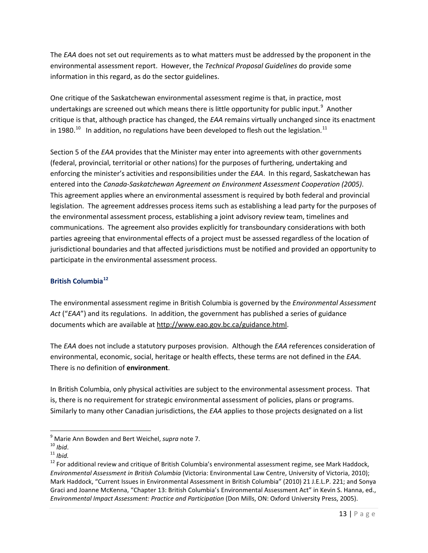The *EAA* does not set out requirements as to what matters must be addressed by the proponent in the environmental assessment report. However, the *Technical Proposal Guidelines* do provide some information in this regard, as do the sector guidelines.

One critique of the Saskatchewan environmental assessment regime is that, in practice, most undertakings are screened out which means there is little opportunity for public input.<sup>[9](#page-13-1)</sup> Another critique is that, although practice has changed, the *EAA* remains virtually unchanged since its enactment in 1980.<sup>[10](#page-13-2)</sup> In addition, no regulations have been developed to flesh out the legislation.<sup>[11](#page-13-3)</sup>

Section 5 of the *EAA* provides that the Minister may enter into agreements with other governments (federal, provincial, territorial or other nations) for the purposes of furthering, undertaking and enforcing the minister's activities and responsibilities under the *EAA*. In this regard, Saskatchewan has entered into the *Canada-Saskatchewan Agreement on Environment Assessment Cooperation (2005)*. This agreement applies where an environmental assessment is required by both federal and provincial legislation. The agreement addresses process items such as establishing a lead party for the purposes of the environmental assessment process, establishing a joint advisory review team, timelines and communications. The agreement also provides explicitly for transboundary considerations with both parties agreeing that environmental effects of a project must be assessed regardless of the location of jurisdictional boundaries and that affected jurisdictions must be notified and provided an opportunity to participate in the environmental assessment process.

#### <span id="page-13-0"></span>**British Columbia[12](#page-13-4)**

The environmental assessment regime in British Columbia is governed by the *Environmental Assessment Act* ("*EAA*") and its regulations. In addition, the government has published a series of guidance documents which are available at [http://www.eao.gov.bc.ca/guidance.html.](http://www.eao.gov.bc.ca/guidance.html)

The *EAA* does not include a statutory purposes provision. Although the *EAA* references consideration of environmental, economic, social, heritage or health effects, these terms are not defined in the *EAA*. There is no definition of **environment**.

In British Columbia, only physical activities are subject to the environmental assessment process. That is, there is no requirement for strategic environmental assessment of policies, plans or programs. Similarly to many other Canadian jurisdictions, the *EAA* applies to those projects designated on a list

<span id="page-13-2"></span><span id="page-13-1"></span><sup>9</sup> Marie Ann Bowden and Bert Weichel, *supra* note 7. <sup>10</sup> *Ibid*. <sup>11</sup> *Ibid.*

<span id="page-13-4"></span><span id="page-13-3"></span> $12$  For additional review and critique of British Columbia's environmental assessment regime, see Mark Haddock, *Environmental Assessment in British Columbia* (Victoria: Environmental Law Centre, University of Victoria, 2010); Mark Haddock, "Current Issues in Environmental Assessment in British Columbia" (2010) 21 J.E.L.P. 221; and Sonya Graci and Joanne McKenna, "Chapter 13: British Columbia's Environmental Assessment Act" in Kevin S. Hanna, ed., *Environmental Impact Assessment: Practice and Participation* (Don Mills, ON: Oxford University Press, 2005).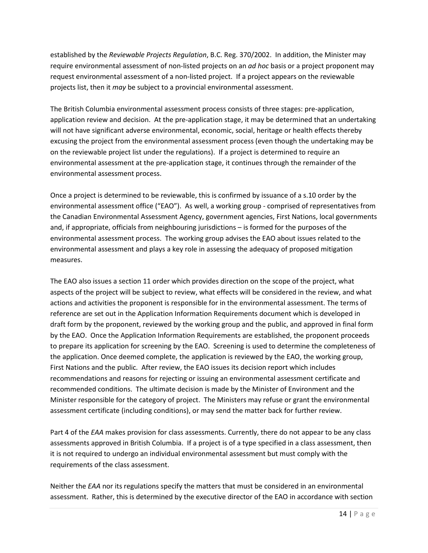established by the *Reviewable Projects Regulation*, B.C. Reg. 370/2002. In addition, the Minister may require environmental assessment of non-listed projects on an *ad hoc* basis or a project proponent may request environmental assessment of a non-listed project. If a project appears on the reviewable projects list, then it *may* be subject to a provincial environmental assessment.

The British Columbia environmental assessment process consists of three stages: pre-application, application review and decision. At the pre-application stage, it may be determined that an undertaking will not have significant adverse environmental, economic, social, heritage or health effects thereby excusing the project from the environmental assessment process (even though the undertaking may be on the reviewable project list under the regulations). If a project is determined to require an environmental assessment at the pre-application stage, it continues through the remainder of the environmental assessment process.

Once a project is determined to be reviewable, this is confirmed by issuance of a s.10 order by the environmental assessment office ("EAO"). As well, a working group - comprised of representatives from the Canadian Environmental Assessment Agency, government agencies, First Nations, local governments and, if appropriate, officials from neighbouring jurisdictions – is formed for the purposes of the environmental assessment process. The working group advises the EAO about issues related to the environmental assessment and plays a key role in assessing the adequacy of proposed mitigation measures.

The EAO also issues a section 11 order which provides direction on the scope of the project, what aspects of the project will be subject to review, what effects will be considered in the review, and what actions and activities the proponent is responsible for in the environmental assessment. The terms of reference are set out in the Application Information Requirements document which is developed in draft form by the proponent, reviewed by the working group and the public, and approved in final form by the EAO. Once the Application Information Requirements are established, the proponent proceeds to prepare its application for screening by the EAO. Screening is used to determine the completeness of the application. Once deemed complete, the application is reviewed by the EAO, the working group, First Nations and the public. After review, the EAO issues its decision report which includes recommendations and reasons for rejecting or issuing an environmental assessment certificate and recommended conditions. The ultimate decision is made by the Minister of Environment and the Minister responsible for the category of project. The Ministers may refuse or grant the environmental assessment certificate (including conditions), or may send the matter back for further review.

Part 4 of the *EAA* makes provision for class assessments. Currently, there do not appear to be any class assessments approved in British Columbia. If a project is of a type specified in a class assessment, then it is not required to undergo an individual environmental assessment but must comply with the requirements of the class assessment.

Neither the *EAA* nor its regulations specify the matters that must be considered in an environmental assessment. Rather, this is determined by the executive director of the EAO in accordance with section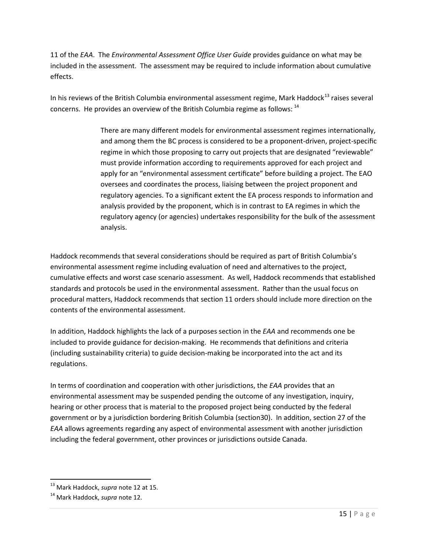11 of the *EAA*. The *Environmental Assessment Office User Guide* provides guidance on what may be included in the assessment. The assessment may be required to include information about cumulative effects.

In his reviews of the British Columbia environmental assessment regime, Mark Haddock<sup>[13](#page-15-0)</sup> raises several concerns. He provides an overview of the British Columbia regime as follows: <sup>[14](#page-15-1)</sup>

> There are many different models for environmental assessment regimes internationally, and among them the BC process is considered to be a proponent-driven, project-specific regime in which those proposing to carry out projects that are designated "reviewable" must provide information according to requirements approved for each project and apply for an "environmental assessment certificate" before building a project. The EAO oversees and coordinates the process, liaising between the project proponent and regulatory agencies. To a significant extent the EA process responds to information and analysis provided by the proponent, which is in contrast to EA regimes in which the regulatory agency (or agencies) undertakes responsibility for the bulk of the assessment analysis.

Haddock recommends that several considerations should be required as part of British Columbia's environmental assessment regime including evaluation of need and alternatives to the project, cumulative effects and worst case scenario assessment. As well, Haddock recommends that established standards and protocols be used in the environmental assessment. Rather than the usual focus on procedural matters, Haddock recommends that section 11 orders should include more direction on the contents of the environmental assessment.

In addition, Haddock highlights the lack of a purposes section in the *EAA* and recommends one be included to provide guidance for decision-making. He recommends that definitions and criteria (including sustainability criteria) to guide decision-making be incorporated into the act and its regulations.

In terms of coordination and cooperation with other jurisdictions, the *EAA* provides that an environmental assessment may be suspended pending the outcome of any investigation, inquiry, hearing or other process that is material to the proposed project being conducted by the federal government or by a jurisdiction bordering British Columbia (section30). In addition, section 27 of the *EAA* allows agreements regarding any aspect of environmental assessment with another jurisdiction including the federal government, other provinces or jurisdictions outside Canada.

<span id="page-15-0"></span> <sup>13</sup> Mark Haddock, *supra* note 12 at 15.

<span id="page-15-1"></span><sup>14</sup> Mark Haddock, *supra* note 12.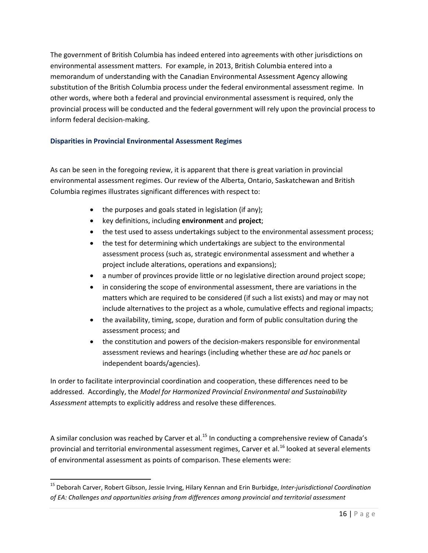The government of British Columbia has indeed entered into agreements with other jurisdictions on environmental assessment matters. For example, in 2013, British Columbia entered into a memorandum of understanding with the Canadian Environmental Assessment Agency allowing substitution of the British Columbia process under the federal environmental assessment regime. In other words, where both a federal and provincial environmental assessment is required, only the provincial process will be conducted and the federal government will rely upon the provincial process to inform federal decision-making.

#### <span id="page-16-0"></span>**Disparities in Provincial Environmental Assessment Regimes**

As can be seen in the foregoing review, it is apparent that there is great variation in provincial environmental assessment regimes. Our review of the Alberta, Ontario, Saskatchewan and British Columbia regimes illustrates significant differences with respect to:

- the purposes and goals stated in legislation (if any);
- key definitions, including **environment** and **project**;
- the test used to assess undertakings subject to the environmental assessment process;
- the test for determining which undertakings are subject to the environmental assessment process (such as, strategic environmental assessment and whether a project include alterations, operations and expansions);
- a number of provinces provide little or no legislative direction around project scope;
- in considering the scope of environmental assessment, there are variations in the matters which are required to be considered (if such a list exists) and may or may not include alternatives to the project as a whole, cumulative effects and regional impacts;
- the availability, timing, scope, duration and form of public consultation during the assessment process; and
- the constitution and powers of the decision-makers responsible for environmental assessment reviews and hearings (including whether these are *ad hoc* panels or independent boards/agencies).

In order to facilitate interprovincial coordination and cooperation, these differences need to be addressed. Accordingly, the *Model for Harmonized Provincial Environmental and Sustainability Assessment* attempts to explicitly address and resolve these differences.

<span id="page-16-2"></span>A similar conclusion was reached by Carver et al.<sup>[15](#page-16-1)</sup> In conducting a comprehensive review of Canada's provincial and territorial environmental assessment regimes, Carver et al.<sup>[16](#page-16-2)</sup> looked at several elements of environmental assessment as points of comparison. These elements were:

<span id="page-16-1"></span> <sup>15</sup> Deborah Carver, Robert Gibson, Jessie Irving, Hilary Kennan and Erin Burbidge, *Inter-jurisdictional Coordination of EA: Challenges and opportunities arising from differences among provincial and territorial assessment*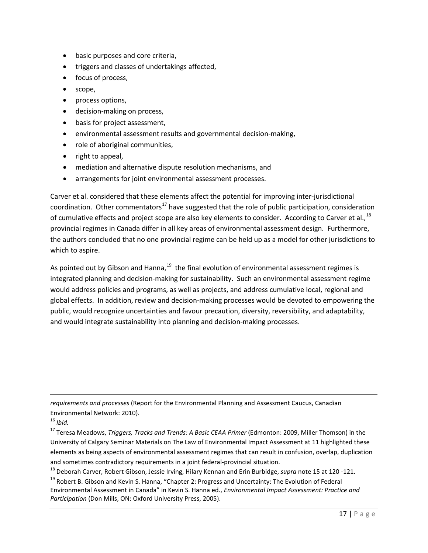- basic purposes and core criteria,
- triggers and classes of undertakings affected,
- focus of process,
- scope,
- process options,
- decision-making on process,
- basis for project assessment,
- environmental assessment results and governmental decision-making,
- role of aboriginal communities,
- right to appeal,
- mediation and alternative dispute resolution mechanisms, and
- arrangements for joint environmental assessment processes.

Carver et al. considered that these elements affect the potential for improving inter-jurisdictional coordination. Other commentators<sup>[17](#page-17-0)</sup> have suggested that the role of public participation, consideration of cumulative effects and project scope are also key elements to consider. According to Carver et al., <sup>[18](#page-17-1)</sup> provincial regimes in Canada differ in all key areas of environmental assessment design. Furthermore, the authors concluded that no one provincial regime can be held up as a model for other jurisdictions to which to aspire.

As pointed out by Gibson and Hanna,  $19$  the final evolution of environmental assessment regimes is integrated planning and decision-making for sustainability. Such an environmental assessment regime would address policies and programs, as well as projects, and address cumulative local, regional and global effects. In addition, review and decision-making processes would be devoted to empowering the public, would recognize uncertainties and favour precaution, diversity, reversibility, and adaptability, and would integrate sustainability into planning and decision-making processes.

*requirements and processes* (Report for the Environmental Planning and Assessment Caucus, Canadian Environmental Network: 2010).

 $\overline{\phantom{a}}$ 

- 
- <span id="page-17-2"></span><span id="page-17-1"></span><sup>19</sup> Robert B. Gibson and Kevin S. Hanna, "Chapter 2: Progress and Uncertainty: The Evolution of Federal Environmental Assessment in Canada" in Kevin S. Hanna ed., *Environmental Impact Assessment: Practice and Participation* (Don Mills, ON: Oxford University Press, 2005).

<sup>16</sup> *Ibid.*

<span id="page-17-0"></span><sup>17</sup> Teresa Meadows, *Triggers, Tracks and Trends: A Basic CEAA Primer* (Edmonton: 2009, Miller Thomson) in the University of Calgary Seminar Materials on The Law of Environmental Impact Assessment at 11 highlighted these elements as being aspects of environmental assessment regimes that can result in confusion, overlap, duplication and sometimes contradictory requirements in a joint federal-provincial situation.<br><sup>18</sup> Deborah Carver, Robert Gibson, Jessie Irving, Hilary Kennan and Erin Burbidge, *supra* note 15 at 120 -121.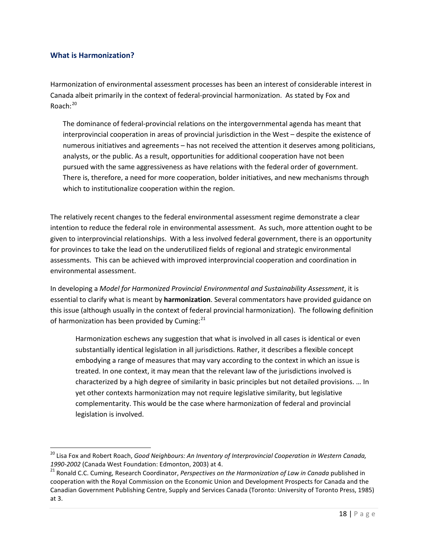#### <span id="page-18-0"></span>**What is Harmonization?**

Harmonization of environmental assessment processes has been an interest of considerable interest in Canada albeit primarily in the context of federal-provincial harmonization. As stated by Fox and Roach:<sup>[20](#page-18-1)</sup>

The dominance of federal-provincial relations on the intergovernmental agenda has meant that interprovincial cooperation in areas of provincial jurisdiction in the West – despite the existence of numerous initiatives and agreements – has not received the attention it deserves among politicians, analysts, or the public. As a result, opportunities for additional cooperation have not been pursued with the same aggressiveness as have relations with the federal order of government. There is, therefore, a need for more cooperation, bolder initiatives, and new mechanisms through which to institutionalize cooperation within the region.

The relatively recent changes to the federal environmental assessment regime demonstrate a clear intention to reduce the federal role in environmental assessment. As such, more attention ought to be given to interprovincial relationships. With a less involved federal government, there is an opportunity for provinces to take the lead on the underutilized fields of regional and strategic environmental assessments. This can be achieved with improved interprovincial cooperation and coordination in environmental assessment.

In developing a *Model for Harmonized Provincial Environmental and Sustainability Assessment*, it is essential to clarify what is meant by **harmonization**. Several commentators have provided guidance on this issue (although usually in the context of federal provincial harmonization). The following definition of harmonization has been provided by Cuming:<sup>[21](#page-18-2)</sup>

Harmonization eschews any suggestion that what is involved in all cases is identical or even substantially identical legislation in all jurisdictions. Rather, it describes a flexible concept embodying a range of measures that may vary according to the context in which an issue is treated. In one context, it may mean that the relevant law of the jurisdictions involved is characterized by a high degree of similarity in basic principles but not detailed provisions. … In yet other contexts harmonization may not require legislative similarity, but legislative complementarity. This would be the case where harmonization of federal and provincial legislation is involved.

<span id="page-18-1"></span><sup>&</sup>lt;sup>20</sup> Lisa Fox and Robert Roach, *Good Neighbours: An Inventory of Interprovincial Cooperation in Western Canada,*<br>1990-2002 (Canada West Foundation: Edmonton, 2003) at 4.

<span id="page-18-2"></span><sup>&</sup>lt;sup>21</sup> Ronald C.C. Cuming, Research Coordinator, Perspectives on the Harmonization of Law in Canada published in cooperation with the Royal Commission on the Economic Union and Development Prospects for Canada and the Canadian Government Publishing Centre, Supply and Services Canada (Toronto: University of Toronto Press, 1985) at 3.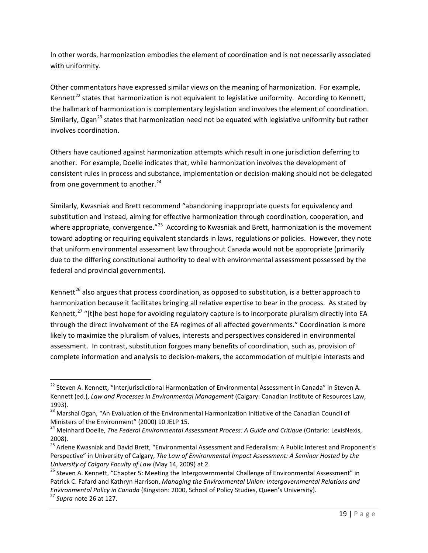In other words, harmonization embodies the element of coordination and is not necessarily associated with uniformity.

Other commentators have expressed similar views on the meaning of harmonization. For example, Kennett<sup>[22](#page-19-0)</sup> states that harmonization is not equivalent to legislative uniformity. According to Kennett, the hallmark of harmonization is complementary legislation and involves the element of coordination. Similarly, Ogan<sup>[23](#page-19-1)</sup> states that harmonization need not be equated with legislative uniformity but rather involves coordination.

Others have cautioned against harmonization attempts which result in one jurisdiction deferring to another. For example, Doelle indicates that, while harmonization involves the development of consistent rules in process and substance, implementation or decision-making should not be delegated from one government to another. $24$ 

Similarly, Kwasniak and Brett recommend "abandoning inappropriate quests for equivalency and substitution and instead, aiming for effective harmonization through coordination, cooperation, and where appropriate, convergence."<sup>[25](#page-19-3)</sup> According to Kwasniak and Brett, harmonization is the movement toward adopting or requiring equivalent standards in laws, regulations or policies. However, they note that uniform environmental assessment law throughout Canada would not be appropriate (primarily due to the differing constitutional authority to deal with environmental assessment possessed by the federal and provincial governments).

Kennett<sup>[26](#page-19-4)</sup> also argues that process coordination, as opposed to substitution, is a better approach to harmonization because it facilitates bringing all relative expertise to bear in the process. As stated by Kennett, $^{27}$  $^{27}$  $^{27}$  "[t]he best hope for avoiding regulatory capture is to incorporate pluralism directly into EA through the direct involvement of the EA regimes of all affected governments." Coordination is more likely to maximize the pluralism of values, interests and perspectives considered in environmental assessment. In contrast, substitution forgoes many benefits of coordination, such as, provision of complete information and analysis to decision-makers, the accommodation of multiple interests and

<span id="page-19-0"></span><sup>&</sup>lt;sup>22</sup> Steven A. Kennett, "Interjurisdictional Harmonization of Environmental Assessment in Canada" in Steven A. Kennett (ed.), *Law and Processes in Environmental Management* (Calgary: Canadian Institute of Resources Law, 1993).

<span id="page-19-1"></span><sup>&</sup>lt;sup>23</sup> Marshal Ogan, "An Evaluation of the Environmental Harmonization Initiative of the Canadian Council of Ministers of the Environment" (2000) 10 JELP 15. <sup>24</sup> Meinhard Doelle, *The Federal Environmental Assessment Process: A Guide and Critique* (Ontario: LexisNexis,

<span id="page-19-2"></span><sup>2008).</sup>

<span id="page-19-3"></span><sup>&</sup>lt;sup>25</sup> Arlene Kwasniak and David Brett, "Environmental Assessment and Federalism: A Public Interest and Proponent's Perspective" in University of Calgary, *The Law of Environmental Impact Assessment: A Seminar Hosted by the University of Calgary Faculty of Law* (May 14, 2009) at 2.<br><sup>26</sup> Steven A. Kennett, "Chapter 5: Meeting the Intergovernmental Challenge of Environmental Assessment" in

<span id="page-19-4"></span>Patrick C. Fafard and Kathryn Harrison, *Managing the Environmental Union: Intergovernmental Relations and Environmental Policy in Canada* (Kingston: 2000, School of Policy Studies, Queen's University). <sup>27</sup> *Supra* note 26 at 127.

<span id="page-19-5"></span>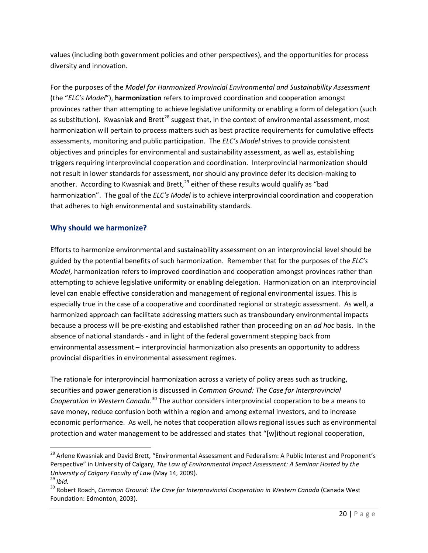values (including both government policies and other perspectives), and the opportunities for process diversity and innovation.

For the purposes of the *Model for Harmonized Provincial Environmental and Sustainability Assessment* (the "*ELC's Model*"), **harmonization** refers to improved coordination and cooperation amongst provinces rather than attempting to achieve legislative uniformity or enabling a form of delegation (such as substitution). Kwasniak and Brett<sup>[28](#page-20-1)</sup> suggest that, in the context of environmental assessment, most harmonization will pertain to process matters such as best practice requirements for cumulative effects assessments, monitoring and public participation. The *ELC's Model* strives to provide consistent objectives and principles for environmental and sustainability assessment, as well as, establishing triggers requiring interprovincial cooperation and coordination. Interprovincial harmonization should not result in lower standards for assessment, nor should any province defer its decision-making to another. According to Kwasniak and Brett, $^{29}$  $^{29}$  $^{29}$  either of these results would qualify as "bad harmonization". The goal of the *ELC's Model* is to achieve interprovincial coordination and cooperation that adheres to high environmental and sustainability standards.

#### <span id="page-20-0"></span>**Why should we harmonize?**

Efforts to harmonize environmental and sustainability assessment on an interprovincial level should be guided by the potential benefits of such harmonization. Remember that for the purposes of the *ELC's Model*, harmonization refers to improved coordination and cooperation amongst provinces rather than attempting to achieve legislative uniformity or enabling delegation. Harmonization on an interprovincial level can enable effective consideration and management of regional environmental issues. This is especially true in the case of a cooperative and coordinated regional or strategic assessment. As well, a harmonized approach can facilitate addressing matters such as transboundary environmental impacts because a process will be pre-existing and established rather than proceeding on an *ad hoc* basis. In the absence of national standards - and in light of the federal government stepping back from environmental assessment – interprovincial harmonization also presents an opportunity to address provincial disparities in environmental assessment regimes.

The rationale for interprovincial harmonization across a variety of policy areas such as trucking, securities and power generation is discussed in *Common Ground: The Case for Interprovincial*  Cooperation in Western Canada.<sup>[30](#page-20-3)</sup> The author considers interprovincial cooperation to be a means to save money, reduce confusion both within a region and among external investors, and to increase economic performance. As well, he notes that cooperation allows regional issues such as environmental protection and water management to be addressed and states that "[w]ithout regional cooperation,

<span id="page-20-1"></span><sup>&</sup>lt;sup>28</sup> Arlene Kwasniak and David Brett, "Environmental Assessment and Federalism: A Public Interest and Proponent's Perspective" in University of Calgary, *The Law of Environmental Impact Assessment: A Seminar Hosted by the University of Calgary Faculty of Law* (May 14, 2009).<br><sup>29</sup> *Ibid.* 

<span id="page-20-3"></span><span id="page-20-2"></span><sup>30</sup> Robert Roach, *Common Ground: The Case for Interprovincial Cooperation in Western Canada* (Canada West Foundation: Edmonton, 2003).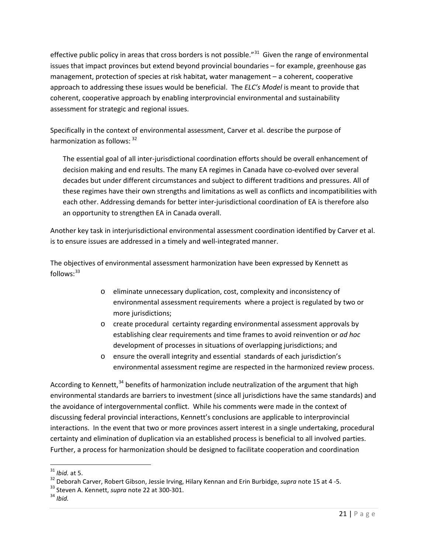effective public policy in areas that cross borders is not possible." $31$  Given the range of environmental issues that impact provinces but extend beyond provincial boundaries – for example, greenhouse gas management, protection of species at risk habitat, water management – a coherent, cooperative approach to addressing these issues would be beneficial. The *ELC's Model* is meant to provide that coherent, cooperative approach by enabling interprovincial environmental and sustainability assessment for strategic and regional issues.

Specifically in the context of environmental assessment, Carver et al. describe the purpose of harmonization as follows: [32](#page-21-1)

The essential goal of all inter-jurisdictional coordination efforts should be overall enhancement of decision making and end results. The many EA regimes in Canada have co-evolved over several decades but under different circumstances and subject to different traditions and pressures. All of these regimes have their own strengths and limitations as well as conflicts and incompatibilities with each other. Addressing demands for better inter-jurisdictional coordination of EA is therefore also an opportunity to strengthen EA in Canada overall.

Another key task in interjurisdictional environmental assessment coordination identified by Carver et al. is to ensure issues are addressed in a timely and well-integrated manner.

The objectives of environmental assessment harmonization have been expressed by Kennett as  $follows: <sup>33</sup>$  $follows: <sup>33</sup>$  $follows: <sup>33</sup>$ 

- o eliminate unnecessary duplication, cost, complexity and inconsistency of environmental assessment requirements where a project is regulated by two or more jurisdictions;
- o create procedural certainty regarding environmental assessment approvals by establishing clear requirements and time frames to avoid reinvention or *ad hoc* development of processes in situations of overlapping jurisdictions; and
- o ensure the overall integrity and essential standards of each jurisdiction's environmental assessment regime are respected in the harmonized review process.

According to Kennett,<sup>[34](#page-21-3)</sup> benefits of harmonization include neutralization of the argument that high environmental standards are barriers to investment (since all jurisdictions have the same standards) and the avoidance of intergovernmental conflict. While his comments were made in the context of discussing federal provincial interactions, Kennett's conclusions are applicable to interprovincial interactions. In the event that two or more provinces assert interest in a single undertaking, procedural certainty and elimination of duplication via an established process is beneficial to all involved parties. Further, a process for harmonization should be designed to facilitate cooperation and coordination

<span id="page-21-1"></span><span id="page-21-0"></span><sup>&</sup>lt;sup>31</sup> *Ibid.* at 5.<br><sup>32</sup> Deborah Carver, Robert Gibson, Jessie Irving, Hilary Kennan and Erin Burbidge, *supra* note 15 at 4 -5.<br><sup>33</sup> Steven A. Kennett, *supra* note 22 at 300-301.

<span id="page-21-3"></span><span id="page-21-2"></span>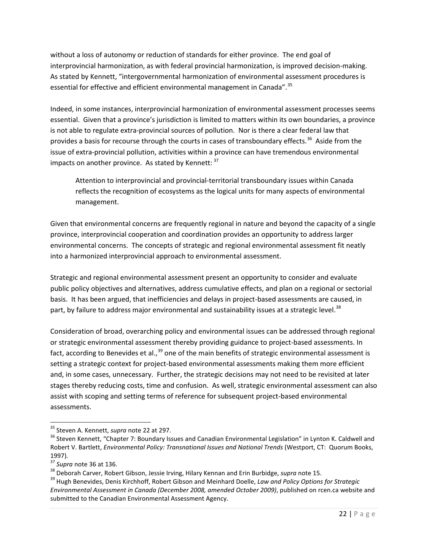without a loss of autonomy or reduction of standards for either province. The end goal of interprovincial harmonization, as with federal provincial harmonization, is improved decision-making. As stated by Kennett, "intergovernmental harmonization of environmental assessment procedures is essential for effective and efficient environmental management in Canada".<sup>[35](#page-22-0)</sup>

Indeed, in some instances, interprovincial harmonization of environmental assessment processes seems essential. Given that a province's jurisdiction is limited to matters within its own boundaries, a province is not able to regulate extra-provincial sources of pollution. Nor is there a clear federal law that provides a basis for recourse through the courts in cases of transboundary effects.<sup>36</sup> Aside from the issue of extra-provincial pollution, activities within a province can have tremendous environmental impacts on another province. As stated by Kennett: <sup>[37](#page-22-2)</sup>

Attention to interprovincial and provincial-territorial transboundary issues within Canada reflects the recognition of ecosystems as the logical units for many aspects of environmental management.

Given that environmental concerns are frequently regional in nature and beyond the capacity of a single province, interprovincial cooperation and coordination provides an opportunity to address larger environmental concerns. The concepts of strategic and regional environmental assessment fit neatly into a harmonized interprovincial approach to environmental assessment.

Strategic and regional environmental assessment present an opportunity to consider and evaluate public policy objectives and alternatives, address cumulative effects, and plan on a regional or sectorial basis. It has been argued, that inefficiencies and delays in project-based assessments are caused, in part, by failure to address major environmental and sustainability issues at a strategic level.<sup>[38](#page-22-3)</sup>

Consideration of broad, overarching policy and environmental issues can be addressed through regional or strategic environmental assessment thereby providing guidance to project-based assessments. In fact, according to Benevides et al.,<sup>[39](#page-22-4)</sup> one of the main benefits of strategic environmental assessment is setting a strategic context for project-based environmental assessments making them more efficient and, in some cases, unnecessary. Further, the strategic decisions may not need to be revisited at later stages thereby reducing costs, time and confusion. As well, strategic environmental assessment can also assist with scoping and setting terms of reference for subsequent project-based environmental assessments.

<span id="page-22-1"></span><span id="page-22-0"></span><sup>&</sup>lt;sup>35</sup> Steven A. Kennett, *supra* note 22 at 297.<br><sup>36</sup> Steven Kennett, "Chapter 7: Boundary Issues and Canadian Environmental Legislation" in Lynton K. Caldwell and Robert V. Bartlett, *Environmental Policy: Transnational Issues and National Trends* (Westport, CT: Quorum Books, 1997).<br><sup>37</sup> Supra note 36 at 136.

<span id="page-22-4"></span><span id="page-22-3"></span><span id="page-22-2"></span><sup>&</sup>lt;sup>38</sup> Deborah Carver, Robert Gibson, Jessie Irving, Hilary Kennan and Erin Burbidge, *supra* note 15.<br><sup>39</sup> Hugh Benevides, Denis Kirchhoff, Robert Gibson and Meinhard Doelle, Law and Policy Options for Strategic *Environmental Assessment in Canada (December 2008, amended October 2009)*, published on rcen.ca website and submitted to the Canadian Environmental Assessment Agency.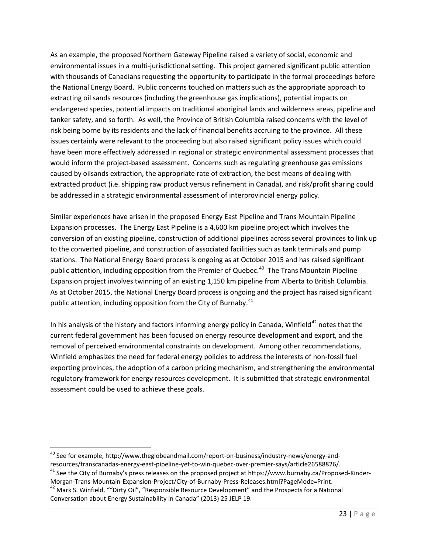As an example, the proposed Northern Gateway Pipeline raised a variety of social, economic and environmental issues in a multi-jurisdictional setting. This project garnered significant public attention with thousands of Canadians requesting the opportunity to participate in the formal proceedings before the National Energy Board. Public concerns touched on matters such as the appropriate approach to extracting oil sands resources (including the greenhouse gas implications), potential impacts on endangered species, potential impacts on traditional aboriginal lands and wilderness areas, pipeline and tanker safety, and so forth. As well, the Province of British Columbia raised concerns with the level of risk being borne by its residents and the lack of financial benefits accruing to the province. All these issues certainly were relevant to the proceeding but also raised significant policy issues which could have been more effectively addressed in regional or strategic environmental assessment processes that would inform the project-based assessment. Concerns such as regulating greenhouse gas emissions caused by oilsands extraction, the appropriate rate of extraction, the best means of dealing with extracted product (i.e. shipping raw product versus refinement in Canada), and risk/profit sharing could be addressed in a strategic environmental assessment of interprovincial energy policy.

Similar experiences have arisen in the proposed Energy East Pipeline and Trans Mountain Pipeline Expansion processes. The Energy East Pipeline is a 4,600 km pipeline project which involves the conversion of an existing pipeline, construction of additional pipelines across several provinces to link up to the converted pipeline, and construction of associated facilities such as tank terminals and pump stations. The National Energy Board process is ongoing as at October 2015 and has raised significant public attention, including opposition from the Premier of Quebec.<sup>[40](#page-23-0)</sup> The Trans Mountain Pipeline Expansion project involves twinning of an existing 1,150 km pipeline from Alberta to British Columbia. As at October 2015, the National Energy Board process is ongoing and the project has raised significant public attention, including opposition from the City of Burnaby. $41$ 

In his analysis of the history and factors informing energy policy in Canada, Winfield<sup>[42](#page-23-2)</sup> notes that the current federal government has been focused on energy resource development and export, and the removal of perceived environmental constraints on development. Among other recommendations, Winfield emphasizes the need for federal energy policies to address the interests of non-fossil fuel exporting provinces, the adoption of a carbon pricing mechanism, and strengthening the environmental regulatory framework for energy resources development. It is submitted that strategic environmental assessment could be used to achieve these goals.

<span id="page-23-0"></span> $40$  See for example, http://www.theglobeandmail.com/report-on-business/industry-news/energy-and-<br>resources/transcanadas-energy-east-pipeline-yet-to-win-quebec-over-premier-says/article26588826/.

<span id="page-23-1"></span><sup>&</sup>lt;sup>41</sup> See the City of Burnaby's press releases on the proposed project at https://www.burnaby.ca/Proposed-Kinder-<br>Morgan-Trans-Mountain-Expansion-Project/City-of-Burnaby-Press-Releases.html?PageMode=Print.

<span id="page-23-2"></span> $^{42}$  Mark S. Winfield, ""Dirty Oil", "Responsible Resource Development" and the Prospects for a National Conversation about Energy Sustainability in Canada" (2013) 25 JELP 19.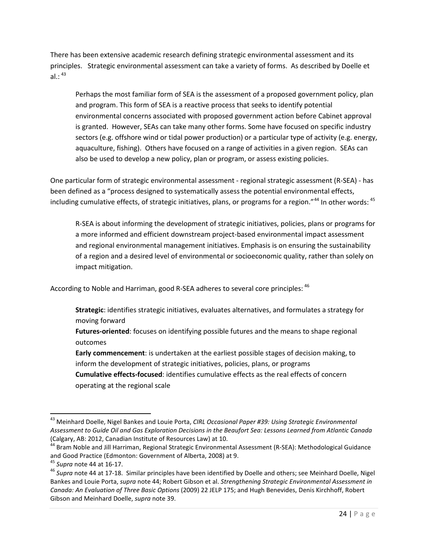There has been extensive academic research defining strategic environmental assessment and its principles. Strategic environmental assessment can take a variety of forms. As described by Doelle et al.:  $^{43}$  $^{43}$  $^{43}$ 

Perhaps the most familiar form of SEA is the assessment of a proposed government policy, plan and program. This form of SEA is a reactive process that seeks to identify potential environmental concerns associated with proposed government action before Cabinet approval is granted. However, SEAs can take many other forms. Some have focused on specific industry sectors (e.g. offshore wind or tidal power production) or a particular type of activity (e.g. energy, aquaculture, fishing). Others have focused on a range of activities in a given region. SEAs can also be used to develop a new policy, plan or program, or assess existing policies.

One particular form of strategic environmental assessment - regional strategic assessment (R-SEA) - has been defined as a "process designed to systematically assess the potential environmental effects, including cumulative effects, of strategic initiatives, plans, or programs for a region."<sup>[44](#page-24-1)</sup> In other words: <sup>[45](#page-24-2)</sup>

R-SEA is about informing the development of strategic initiatives, policies, plans or programs for a more informed and efficient downstream project-based environmental impact assessment and regional environmental management initiatives. Emphasis is on ensuring the sustainability of a region and a desired level of environmental or socioeconomic quality, rather than solely on impact mitigation.

According to Noble and Harriman, good R-SEA adheres to several core principles: <sup>[46](#page-24-3)</sup>

**Strategic**: identifies strategic initiatives, evaluates alternatives, and formulates a strategy for moving forward

**Futures-oriented**: focuses on identifying possible futures and the means to shape regional outcomes

**Early commencement**: is undertaken at the earliest possible stages of decision making, to inform the development of strategic initiatives, policies, plans, or programs **Cumulative effects-focused**: identifies cumulative effects as the real effects of concern

operating at the regional scale

<span id="page-24-0"></span> <sup>43</sup> Meinhard Doelle, Nigel Bankes and Louie Porta, *CIRL Occasional Paper #39: Using Strategic Environmental Assessment to Guide Oil and Gas Exploration Decisions in the Beaufort Sea: Lessons Learned from Atlantic Canada* (Calgary, AB: 2012, Canadian Institute of Resources Law) at 10.<br><sup>44</sup> Bram Noble and Jill Harriman, Regional Strategic Environmental Assessment (R-SEA): Methodological Guidance

<span id="page-24-1"></span>and Good Practice (Edmonton: Government of Alberta, 2008) at 9.<br><sup>45</sup> *Supra* note 44 at 16-17.<br><sup>46</sup> *Supra* note 44 at 17-18. Similar principles have been identified by Doelle and others; see Meinhard Doelle, Nigel

<span id="page-24-2"></span>

<span id="page-24-3"></span>Bankes and Louie Porta, *supra* note 44; Robert Gibson et al. *Strengthening Strategic Environmental Assessment in Canada: An Evaluation of Three Basic Options* (2009) 22 JELP 175; and Hugh Benevides, Denis Kirchhoff, Robert Gibson and Meinhard Doelle, *supra* note 39.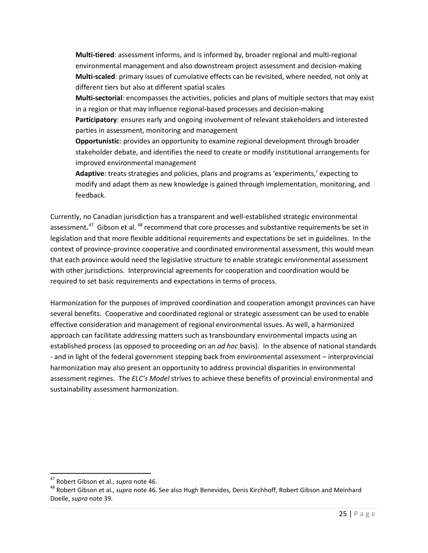**Multi-tiered**: assessment informs, and is informed by, broader regional and multi-regional environmental management and also downstream project assessment and decision-making **Multi-scaled**: primary issues of cumulative effects can be revisited, where needed, not only at different tiers but also at different spatial scales

**Multi-sectorial**: encompasses the activities, policies and plans of multiple sectors that may exist in a region or that may influence regional-based processes and decision-making **Participatory**: ensures early and ongoing involvement of relevant stakeholders and interested

parties in assessment, monitoring and management

**Opportunistic**: provides an opportunity to examine regional development through broader stakeholder debate, and identifies the need to create or modify institutional arrangements for improved environmental management

**Adaptive**: treats strategies and policies, plans and programs as 'experiments,' expecting to modify and adapt them as new knowledge is gained through implementation, monitoring, and feedback.

Currently, no Canadian jurisdiction has a transparent and well-established strategic environmental assessment.<sup>[47](#page-25-1)</sup> Gibson et al. <sup>[48](#page-25-2)</sup> recommend that core processes and substantive requirements be set in legislation and that more flexible additional requirements and expectations be set in guidelines. In the context of province-province cooperative and coordinated environmental assessment, this would mean that each province would need the legislative structure to enable strategic environmental assessment with other jurisdictions. Interprovincial agreements for cooperation and coordination would be required to set basic requirements and expectations in terms of process.

Harmonization for the purposes of improved coordination and cooperation amongst provinces can have several benefits. Cooperative and coordinated regional or strategic assessment can be used to enable effective consideration and management of regional environmental issues. As well, a harmonized approach can facilitate addressing matters such as transboundary environmental impacts using an established process (as opposed to proceeding on an *ad hoc* basis). In the absence of national standards - and in light of the federal government stepping back from environmental assessment – interprovincial harmonization may also present an opportunity to address provincial disparities in environmental assessment regimes. The *ELC's Model* strives to achieve these benefits of provincial environmental and sustainability assessment harmonization.

<span id="page-25-2"></span>

<span id="page-25-1"></span><span id="page-25-0"></span><sup>&</sup>lt;sup>47</sup> Robert Gibson et al., *supra* note 46.<br><sup>48</sup> Robert Gibson et al., *supra* note 46. See also Hugh Benevides, Denis Kirchhoff, Robert Gibson and Meinhard Doelle, *supra* note 39.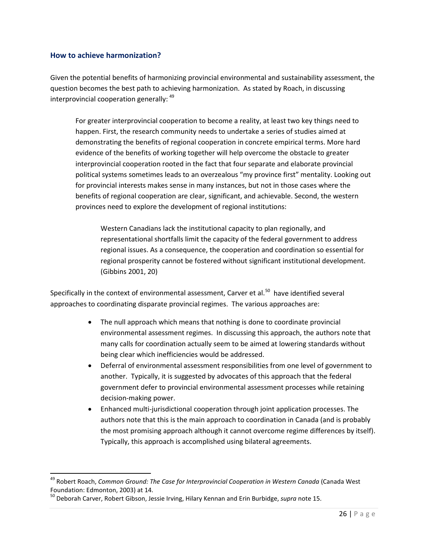#### **How to achieve harmonization?**

Given the potential benefits of harmonizing provincial environmental and sustainability assessment, the question becomes the best path to achieving harmonization. As stated by Roach, in discussing interprovincial cooperation generally: <sup>[49](#page-26-0)</sup>

For greater interprovincial cooperation to become a reality, at least two key things need to happen. First, the research community needs to undertake a series of studies aimed at demonstrating the benefits of regional cooperation in concrete empirical terms. More hard evidence of the benefits of working together will help overcome the obstacle to greater interprovincial cooperation rooted in the fact that four separate and elaborate provincial political systems sometimes leads to an overzealous "my province first" mentality. Looking out for provincial interests makes sense in many instances, but not in those cases where the benefits of regional cooperation are clear, significant, and achievable. Second, the western provinces need to explore the development of regional institutions:

Western Canadians lack the institutional capacity to plan regionally, and representational shortfalls limit the capacity of the federal government to address regional issues. As a consequence, the cooperation and coordination so essential for regional prosperity cannot be fostered without significant institutional development. (Gibbins 2001, 20)

Specifically in the context of environmental assessment, Carver et al.<sup>50</sup> have identified several approaches to coordinating disparate provincial regimes. The various approaches are:

- The null approach which means that nothing is done to coordinate provincial environmental assessment regimes. In discussing this approach, the authors note that many calls for coordination actually seem to be aimed at lowering standards without being clear which inefficiencies would be addressed.
- Deferral of environmental assessment responsibilities from one level of government to another. Typically, it is suggested by advocates of this approach that the federal government defer to provincial environmental assessment processes while retaining decision-making power.
- Enhanced multi-jurisdictional cooperation through joint application processes. The authors note that this is the main approach to coordination in Canada (and is probably the most promising approach although it cannot overcome regime differences by itself). Typically, this approach is accomplished using bilateral agreements.

<span id="page-26-0"></span> <sup>49</sup> Robert Roach, *Common Ground: The Case for Interprovincial Cooperation in Western Canada* (Canada West Foundation: Edmonton, 2003) at 14.

<span id="page-26-1"></span><sup>50</sup> Deborah Carver, Robert Gibson, Jessie Irving, Hilary Kennan and Erin Burbidge, *supra* note 15.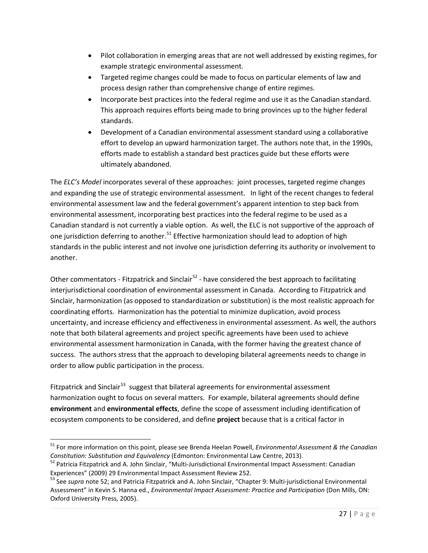- Pilot collaboration in emerging areas that are not well addressed by existing regimes, for example strategic environmental assessment.
- Targeted regime changes could be made to focus on particular elements of law and process design rather than comprehensive change of entire regimes.
- Incorporate best practices into the federal regime and use it as the Canadian standard. This approach requires efforts being made to bring provinces up to the higher federal standards.
- Development of a Canadian environmental assessment standard using a collaborative effort to develop an upward harmonization target. The authors note that, in the 1990s, efforts made to establish a standard best practices guide but these efforts were ultimately abandoned.

The *ELC's Model* incorporates several of these approaches: joint processes, targeted regime changes and expanding the use of strategic environmental assessment. In light of the recent changes to federal environmental assessment law and the federal government's apparent intention to step back from environmental assessment, incorporating best practices into the federal regime to be used as a Canadian standard is not currently a viable option.As well, the ELC is not supportive of the approach of one jurisdiction deferring to another.<sup>[51](#page-27-0)</sup> Effective harmonization should lead to adoption of high standards in the public interest and not involve one jurisdiction deferring its authority or involvement to another.

Other commentators - Fitzpatrick and Sinclair<sup>[52](#page-27-1)</sup> - have considered the best approach to facilitating interjurisdictional coordination of environmental assessment in Canada. According to Fitzpatrick and Sinclair, harmonization (as opposed to standardization or substitution) is the most realistic approach for coordinating efforts. Harmonization has the potential to minimize duplication, avoid process uncertainty, and increase efficiency and effectiveness in environmental assessment. As well, the authors note that both bilateral agreements and project specific agreements have been used to achieve environmental assessment harmonization in Canada, with the former having the greatest chance of success. The authors stress that the approach to developing bilateral agreements needs to change in order to allow public participation in the process.

Fitzpatrick and Sinclair<sup>53</sup> suggest that bilateral agreements for environmental assessment harmonization ought to focus on several matters. For example, bilateral agreements should define **environment** and **environmental effects**, define the scope of assessment including identification of ecosystem components to be considered, and define **project** because that is a critical factor in

<span id="page-27-0"></span> <sup>51</sup> For more information on this point, please see Brenda Heelan Powell, *Environmental Assessment & the Canadian Constitution: Substitution and Equivalency* (Edmonton: Environmental Law Centre, 2013).<br><sup>52</sup> Patricia Fitzpatrick and A. John Sinclair, "Multi-Jurisdictional Environmental Impact Assessment: Canadian

<span id="page-27-1"></span>

<span id="page-27-2"></span>Experiences" (2009) 29 Environmental Impact Assessment Review 252.<br><sup>53</sup> See *supra* note 52; and Patricia Fitzpatrick and A. John Sinclair, "Chapter 9: Multi-jurisdictional Environmental Assessment" in Kevin S. Hanna ed., *Environmental Impact Assessment: Practice and Participation* (Don Mills, ON: Oxford University Press, 2005).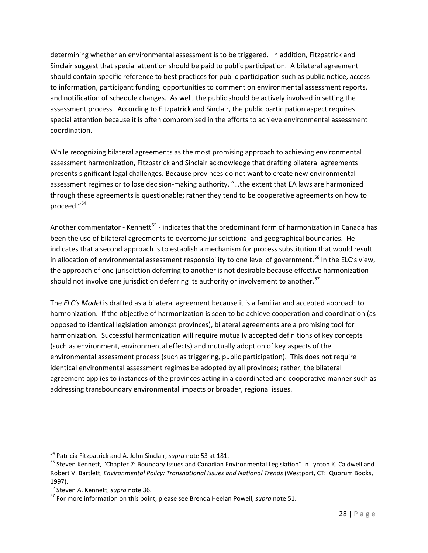determining whether an environmental assessment is to be triggered. In addition, Fitzpatrick and Sinclair suggest that special attention should be paid to public participation. A bilateral agreement should contain specific reference to best practices for public participation such as public notice, access to information, participant funding, opportunities to comment on environmental assessment reports, and notification of schedule changes. As well, the public should be actively involved in setting the assessment process. According to Fitzpatrick and Sinclair, the public participation aspect requires special attention because it is often compromised in the efforts to achieve environmental assessment coordination.

While recognizing bilateral agreements as the most promising approach to achieving environmental assessment harmonization, Fitzpatrick and Sinclair acknowledge that drafting bilateral agreements presents significant legal challenges. Because provinces do not want to create new environmental assessment regimes or to lose decision-making authority, "…the extent that EA laws are harmonized through these agreements is questionable; rather they tend to be cooperative agreements on how to proceed."[54](#page-28-1) 

Another commentator - Kennett<sup>[55](#page-28-2)</sup> - indicates that the predominant form of harmonization in Canada has been the use of bilateral agreements to overcome jurisdictional and geographical boundaries. He indicates that a second approach is to establish a mechanism for process substitution that would result in allocation of environmental assessment responsibility to one level of government.<sup>[56](#page-28-3)</sup> In the ELC's view, the approach of one jurisdiction deferring to another is not desirable because effective harmonization should not involve one jurisdiction deferring its authority or involvement to another.<sup>[57](#page-28-4)</sup>

The *ELC's Model* is drafted as a bilateral agreement because it is a familiar and accepted approach to harmonization. If the objective of harmonization is seen to be achieve cooperation and coordination (as opposed to identical legislation amongst provinces), bilateral agreements are a promising tool for harmonization. Successful harmonization will require mutually accepted definitions of key concepts (such as environment, environmental effects) and mutually adoption of key aspects of the environmental assessment process (such as triggering, public participation). This does not require identical environmental assessment regimes be adopted by all provinces; rather, the bilateral agreement applies to instances of the provinces acting in a coordinated and cooperative manner such as addressing transboundary environmental impacts or broader, regional issues.

<span id="page-28-2"></span><span id="page-28-1"></span><span id="page-28-0"></span><sup>&</sup>lt;sup>54</sup> Patricia Fitzpatrick and A. John Sinclair, *supra* note 53 at 181.<br><sup>55</sup> Steven Kennett, "Chapter 7: Boundary Issues and Canadian Environmental Legislation" in Lynton K. Caldwell and Robert V. Bartlett, *Environmental Policy: Transnational Issues and National Trends* (Westport, CT: Quorum Books, 1997).<br><sup>56</sup> Steven A. Kennett, *supra* note 36.

<span id="page-28-3"></span>

<span id="page-28-4"></span><sup>&</sup>lt;sup>57</sup> For more information on this point, please see Brenda Heelan Powell, *supra* note 51.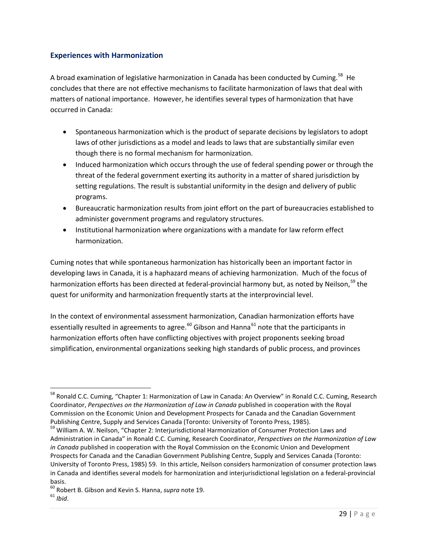#### **Experiences with Harmonization**

A broad examination of legislative harmonization in Canada has been conducted by Cuming.<sup>[58](#page-29-0)</sup> He concludes that there are not effective mechanisms to facilitate harmonization of laws that deal with matters of national importance. However, he identifies several types of harmonization that have occurred in Canada:

- Spontaneous harmonization which is the product of separate decisions by legislators to adopt laws of other jurisdictions as a model and leads to laws that are substantially similar even though there is no formal mechanism for harmonization.
- Induced harmonization which occurs through the use of federal spending power or through the threat of the federal government exerting its authority in a matter of shared jurisdiction by setting regulations. The result is substantial uniformity in the design and delivery of public programs.
- Bureaucratic harmonization results from joint effort on the part of bureaucracies established to administer government programs and regulatory structures.
- Institutional harmonization where organizations with a mandate for law reform effect harmonization.

Cuming notes that while spontaneous harmonization has historically been an important factor in developing laws in Canada, it is a haphazard means of achieving harmonization. Much of the focus of harmonization efforts has been directed at federal-provincial harmony but, as noted by Neilson,<sup>[59](#page-29-1)</sup> the quest for uniformity and harmonization frequently starts at the interprovincial level.

In the context of environmental assessment harmonization, Canadian harmonization efforts have essentially resulted in agreements to agree.<sup>[60](#page-29-2)</sup> Gibson and Hanna<sup>[61](#page-29-3)</sup> note that the participants in harmonization efforts often have conflicting objectives with project proponents seeking broad simplification, environmental organizations seeking high standards of public process, and provinces

<span id="page-29-0"></span><sup>&</sup>lt;sup>58</sup> Ronald C.C. Cuming, "Chapter 1: Harmonization of Law in Canada: An Overview" in Ronald C.C. Cuming, Research Coordinator, *Perspectives on the Harmonization of Law in Canada* published in cooperation with the Royal Commission on the Economic Union and Development Prospects for Canada and the Canadian Government

<span id="page-29-1"></span>Publishing Centre, Supply and Services Canada (Toronto: University of Toronto Press, 1985).<br><sup>59</sup> William A. W. Neilson, "Chapter 2: Interjurisdictional Harmonization of Consumer Protection Laws and Administration in Canada" in Ronald C.C. Cuming, Research Coordinator, *Perspectives on the Harmonization of Law in Canada* published in cooperation with the Royal Commission on the Economic Union and Development Prospects for Canada and the Canadian Government Publishing Centre, Supply and Services Canada (Toronto: University of Toronto Press, 1985) 59. In this article, Neilson considers harmonization of consumer protection laws in Canada and identifies several models for harmonization and interjurisdictional legislation on a federal-provincial basis.

<span id="page-29-3"></span><span id="page-29-2"></span><sup>60</sup> Robert B. Gibson and Kevin S. Hanna, *supra* note 19. <sup>61</sup> *Ibid*.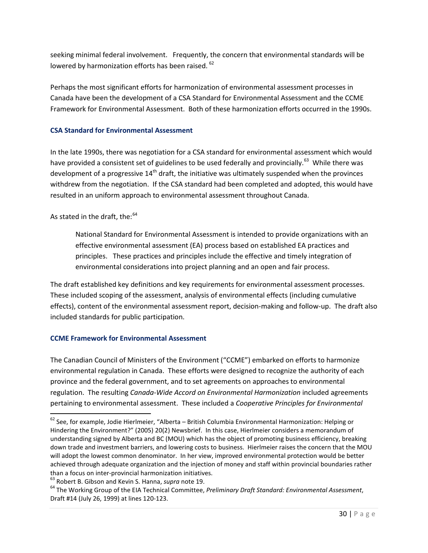seeking minimal federal involvement. Frequently, the concern that environmental standards will be lowered by harmonization efforts has been raised. <sup>[62](#page-30-2)</sup>

Perhaps the most significant efforts for harmonization of environmental assessment processes in Canada have been the development of a CSA Standard for Environmental Assessment and the CCME Framework for Environmental Assessment. Both of these harmonization efforts occurred in the 1990s.

#### <span id="page-30-0"></span>**CSA Standard for Environmental Assessment**

In the late 1990s, there was negotiation for a CSA standard for environmental assessment which would have provided a consistent set of guidelines to be used federally and provincially.<sup>[63](#page-30-3)</sup> While there was development of a progressive  $14<sup>th</sup>$  draft, the initiative was ultimately suspended when the provinces withdrew from the negotiation. If the CSA standard had been completed and adopted, this would have resulted in an uniform approach to environmental assessment throughout Canada.

#### As stated in the draft, the:<sup>[64](#page-30-4)</sup>

National Standard for Environmental Assessment is intended to provide organizations with an effective environmental assessment (EA) process based on established EA practices and principles. These practices and principles include the effective and timely integration of environmental considerations into project planning and an open and fair process.

The draft established key definitions and key requirements for environmental assessment processes. These included scoping of the assessment, analysis of environmental effects (including cumulative effects), content of the environmental assessment report, decision-making and follow-up. The draft also included standards for public participation.

#### <span id="page-30-1"></span>**CCME Framework for Environmental Assessment**

The Canadian Council of Ministers of the Environment ("CCME") embarked on efforts to harmonize environmental regulation in Canada. These efforts were designed to recognize the authority of each province and the federal government, and to set agreements on approaches to environmental regulation. The resulting *Canada-Wide Accord on Environmental Harmonization* included agreements pertaining to environmental assessment. These included a *Cooperative Principles for Environmental* 

<span id="page-30-2"></span> $62$  See, for example, Jodie Hierlmeier, "Alberta – British Columbia Environmental Harmonization: Helping or Hindering the Environment?" (2005) 20(2) Newsbrief. In this case, Hierlmeier considers a memorandum of understanding signed by Alberta and BC (MOU) which has the object of promoting business efficiency, breaking down trade and investment barriers, and lowering costs to business. Hierlmeier raises the concern that the MOU will adopt the lowest common denominator. In her view, improved environmental protection would be better achieved through adequate organization and the injection of money and staff within provincial boundaries rather

<span id="page-30-4"></span><span id="page-30-3"></span>

than a focus on inter-provincial harmonization initiatives.<br><sup>63</sup> Robert B. Gibson and Kevin S. Hanna, *supra* note 19.<br><sup>64</sup> The Working Group of the EIA Technical Committee, *Preliminary Draft Standard: Environmental Asses* Draft #14 (July 26, 1999) at lines 120-123.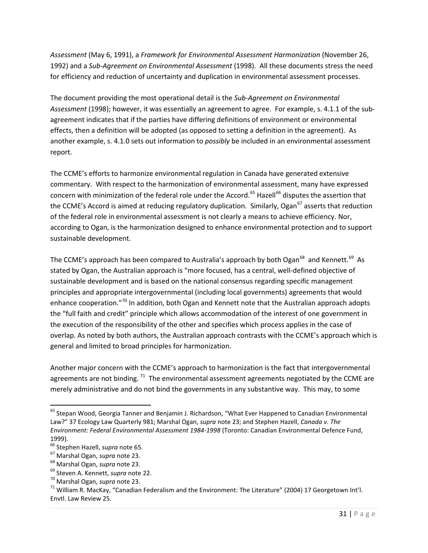*Assessment* (May 6, 1991), a *Framework for Environmental Assessment Harmonization* (November 26, 1992) and a *Sub-Agreement on Environmental Assessment* (1998). All these documents stress the need for efficiency and reduction of uncertainty and duplication in environmental assessment processes.

The document providing the most operational detail is the *Sub-Agreement on Environmental Assessment* (1998); however, it was essentially an agreement to agree. For example, s. 4.1.1 of the subagreement indicates that if the parties have differing definitions of environment or environmental effects, then a definition will be adopted (as opposed to setting a definition in the agreement). As another example, s. 4.1.0 sets out information to *possibly* be included in an environmental assessment report.

The CCME's efforts to harmonize environmental regulation in Canada have generated extensive commentary. With respect to the harmonization of environmental assessment, many have expressed concern with minimization of the federal role under the Accord.<sup>[65](#page-31-0)</sup> Hazell<sup>[66](#page-31-1)</sup> disputes the assertion that the CCME's Accord is aimed at reducing regulatory duplication. Similarly, Ogan<sup>[67](#page-31-2)</sup> asserts that reduction of the federal role in environmental assessment is not clearly a means to achieve efficiency. Nor, according to Ogan, is the harmonization designed to enhance environmental protection and to support sustainable development.

The CCME's approach has been compared to Australia's approach by both Ogan $^{68}$  and Kennett.<sup>[69](#page-31-4)</sup> As stated by Ogan, the Australian approach is "more focused, has a central, well-defined objective of sustainable development and is based on the national consensus regarding specific management principles and appropriate intergovernmental (including local governments) agreements that would enhance cooperation."<sup>[70](#page-31-5)</sup> In addition, both Ogan and Kennett note that the Australian approach adopts the "full faith and credit" principle which allows accommodation of the interest of one government in the execution of the responsibility of the other and specifies which process applies in the case of overlap. As noted by both authors, the Australian approach contrasts with the CCME's approach which is general and limited to broad principles for harmonization.

Another major concern with the CCME's approach to harmonization is the fact that intergovernmental agreements are not binding.<sup>71</sup> The environmental assessment agreements negotiated by the CCME are merely administrative and do not bind the governments in any substantive way. This may, to some

<span id="page-31-0"></span><sup>&</sup>lt;sup>65</sup> Stepan Wood, Georgia Tanner and Benjamin J. Richardson, "What Ever Happened to Canadian Environmental Law?" 37 Ecology Law Quarterly 981; Marshal Ogan, *supra* note 23; and Stephen Hazell, *Canada v. The Environment: Federal Environmental Assessment 1984-1998* (Toronto: Canadian Environmental Defence Fund, 1999).<br><sup>66</sup> Stephen Hazell, *supra* note 65.

<span id="page-31-3"></span>

<span id="page-31-4"></span>

<span id="page-31-6"></span><span id="page-31-5"></span>

<span id="page-31-2"></span><span id="page-31-1"></span><sup>&</sup>lt;sup>67</sup> Marshal Ogan, *supra* note 23.<br><sup>68</sup> Marshal Ogan, *supra* note 23.<br><sup>69</sup> Steven A. Kennett, *supra* note 22.<br><sup>70</sup> Marshal Ogan, *supra* note 23.<br><sup>71</sup> William R. MacKay, "Canadian Federalism and the Environment: The Li Envtl. Law Review 25.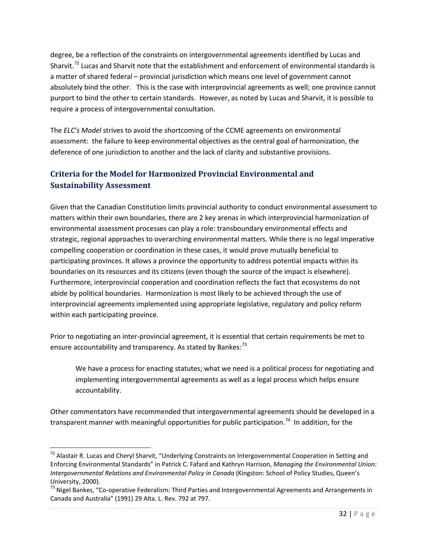degree, be a reflection of the constraints on intergovernmental agreements identified by Lucas and Sharvit.<sup>[72](#page-32-1)</sup> Lucas and Sharvit note that the establishment and enforcement of environmental standards is a matter of shared federal – provincial jurisdiction which means one level of government cannot absolutely bind the other. This is the case with interprovincial agreements as well; one province cannot purport to bind the other to certain standards. However, as noted by Lucas and Sharvit, it is possible to require a process of intergovernmental consultation.

The *ELC's Model* strives to avoid the shortcoming of the CCME agreements on environmental assessment: the failure to keep environmental objectives as the central goal of harmonization, the deference of one jurisdiction to another and the lack of clarity and substantive provisions.

### <span id="page-32-0"></span>**Criteria for the Model for Harmonized Provincial Environmental and Sustainability Assessment**

Given that the Canadian Constitution limits provincial authority to conduct environmental assessment to matters within their own boundaries, there are 2 key arenas in which interprovincial harmonization of environmental assessment processes can play a role: transboundary environmental effects and strategic, regional approaches to overarching environmental matters. While there is no legal imperative compelling cooperation or coordination in these cases, it would prove mutually beneficial to participating provinces. It allows a province the opportunity to address potential impacts within its boundaries on its resources and its citizens (even though the source of the impact is elsewhere). Furthermore, interprovincial cooperation and coordination reflects the fact that ecosystems do not abide by political boundaries. Harmonization is most likely to be achieved through the use of interprovincial agreements implemented using appropriate legislative, regulatory and policy reform within each participating province.

Prior to negotiating an inter-provincial agreement, it is essential that certain requirements be met to ensure accountability and transparency. As stated by Bankes:<sup>[73](#page-32-2)</sup>

We have a process for enacting statutes; what we need is a political process for negotiating and implementing intergovernmental agreements as well as a legal process which helps ensure accountability.

<span id="page-32-3"></span>Other commentators have recommended that intergovernmental agreements should be developed in a transparent manner with meaningful opportunities for public participation.<sup>[74](#page-32-3)</sup> In addition, for the

<span id="page-32-1"></span><sup>&</sup>lt;sup>72</sup> Alastair R. Lucas and Cheryl Sharvit, "Underlying Constraints on Intergovernmental Cooperation in Setting and Enforcing Environmental Standards" in Patrick C. Fafard and Kathryn Harrison, *Managing the Environmental Union: Intergovernmental Relations and Environmental Policy in Canada* (Kingston: School of Policy Studies, Queen's University, 2000).<br><sup>73</sup> Nigel Bankes, "Co-operative Federalism: Third Parties and Intergovernmental Agreements and Arrangements in

<span id="page-32-2"></span>Canada and Australia" (1991) 29 Alta. L. Rev. 792 at 797.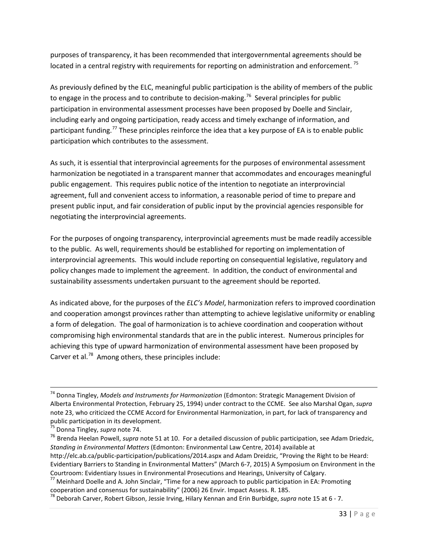purposes of transparency, it has been recommended that intergovernmental agreements should be located in a central registry with requirements for reporting on administration and enforcement.<sup>[75](#page-33-0)</sup>

As previously defined by the ELC, meaningful public participation is the ability of members of the public to engage in the process and to contribute to decision-making.<sup>76</sup> Several principles for public participation in environmental assessment processes have been proposed by Doelle and Sinclair, including early and ongoing participation, ready access and timely exchange of information, and participant funding.<sup>[77](#page-33-2)</sup> These principles reinforce the idea that a key purpose of EA is to enable public participation which contributes to the assessment.

As such, it is essential that interprovincial agreements for the purposes of environmental assessment harmonization be negotiated in a transparent manner that accommodates and encourages meaningful public engagement. This requires public notice of the intention to negotiate an interprovincial agreement, full and convenient access to information, a reasonable period of time to prepare and present public input, and fair consideration of public input by the provincial agencies responsible for negotiating the interprovincial agreements.

For the purposes of ongoing transparency, interprovincial agreements must be made readily accessible to the public. As well, requirements should be established for reporting on implementation of interprovincial agreements. This would include reporting on consequential legislative, regulatory and policy changes made to implement the agreement. In addition, the conduct of environmental and sustainability assessments undertaken pursuant to the agreement should be reported.

As indicated above, for the purposes of the *ELC's Model*, harmonization refers to improved coordination and cooperation amongst provinces rather than attempting to achieve legislative uniformity or enabling a form of delegation. The goal of harmonization is to achieve coordination and cooperation without compromising high environmental standards that are in the public interest. Numerous principles for achieving this type of upward harmonization of environmental assessment have been proposed by Carver et al.<sup>[78](#page-33-3)</sup> Among others, these principles include:

 <sup>74</sup> Donna Tingley, *Models and Instruments for Harmonization* (Edmonton: Strategic Management Division of Alberta Environmental Protection, February 25, 1994) under contract to the CCME. See also Marshal Ogan, *supra*  note 23, who criticized the CCME Accord for Environmental Harmonization, in part, for lack of transparency and public participation in its development.

<span id="page-33-0"></span><sup>75</sup> Donna Tingley, *supra* note 74.

<span id="page-33-1"></span><sup>76</sup> Brenda Heelan Powell, *supra* note 51 at 10. For a detailed discussion of public participation, see Adam Driedzic, *Standing in Environmental Matters* (Edmonton: Environmental Law Centre, 2014) available at http://elc.ab.ca/public-participation/publications/2014.aspx and Adam Dreidzic, "Proving the Right to be Heard: Evidentiary Barriers to Standing in Environmental Matters" (March 6-7, 2015) A Symposium on Environment in the Courtroom: Evidentiary Issues in Environmental Prosecutions and Hearings, University of Calgary.

<span id="page-33-2"></span> $^{77}$  Meinhard Doelle and A. John Sinclair, "Time for a new approach to public participation in EA: Promoting cooperation and consensus for sustainability" (2006) 26 Envir. Impact Assess. R. 185.

<span id="page-33-3"></span><sup>78</sup> Deborah Carver, Robert Gibson, Jessie Irving, Hilary Kennan and Erin Burbidge, *supra* note 15 at 6 - 7.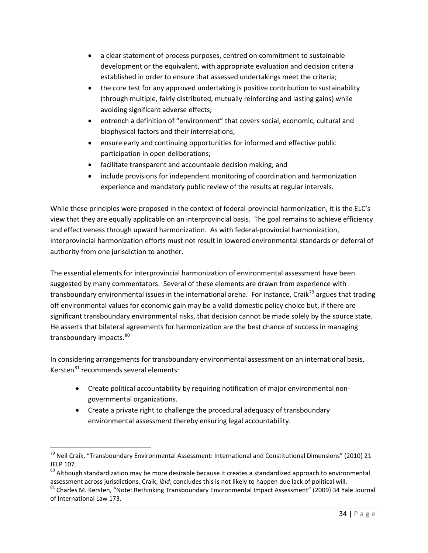- a clear statement of process purposes, centred on commitment to sustainable development or the equivalent, with appropriate evaluation and decision criteria established in order to ensure that assessed undertakings meet the criteria;
- the core test for any approved undertaking is positive contribution to sustainability (through multiple, fairly distributed, mutually reinforcing and lasting gains) while avoiding significant adverse effects;
- entrench a definition of "environment" that covers social, economic, cultural and biophysical factors and their interrelations;
- ensure early and continuing opportunities for informed and effective public participation in open deliberations;
- facilitate transparent and accountable decision making; and
- include provisions for independent monitoring of coordination and harmonization experience and mandatory public review of the results at regular intervals.

While these principles were proposed in the context of federal-provincial harmonization, it is the ELC's view that they are equally applicable on an interprovincial basis. The goal remains to achieve efficiency and effectiveness through upward harmonization. As with federal-provincial harmonization, interprovincial harmonization efforts must not result in lowered environmental standards or deferral of authority from one jurisdiction to another.

The essential elements for interprovincial harmonization of environmental assessment have been suggested by many commentators. Several of these elements are drawn from experience with transboundary environmental issues in the international arena. For instance, Craik<sup>[79](#page-34-0)</sup> argues that trading off environmental values for economic gain may be a valid domestic policy choice but, if there are significant transboundary environmental risks, that decision cannot be made solely by the source state. He asserts that bilateral agreements for harmonization are the best chance of success in managing transboundary impacts.<sup>80</sup>

In considering arrangements for transboundary environmental assessment on an international basis, Kersten<sup>[81](#page-34-2)</sup> recommends several elements:

- Create political accountability by requiring notification of major environmental nongovernmental organizations.
- Create a private right to challenge the procedural adequacy of transboundary environmental assessment thereby ensuring legal accountability.

<span id="page-34-0"></span><sup>&</sup>lt;sup>79</sup> Neil Craik, "Transboundary Environmental Assessment: International and Constitutional Dimensions" (2010) 21 JELP 107.

<span id="page-34-1"></span><sup>&</sup>lt;sup>80</sup> Although standardization may be more desirable because it creates a standardized approach to environmental assessment across jurisdictions, Craik, *ibid*, concludes this is not likely to happen due lack of political will.<br><sup>81</sup> Charles M. Kersten, "Note: Rethinking Transboundary Environmental Impact Assessment" (2009) 34 Yale Jo

<span id="page-34-2"></span>of International Law 173.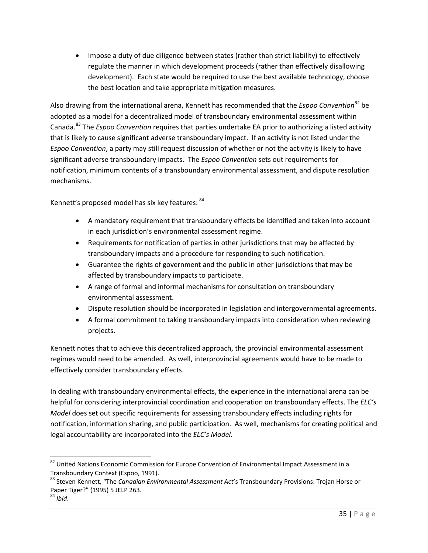• Impose a duty of due diligence between states (rather than strict liability) to effectively regulate the manner in which development proceeds (rather than effectively disallowing development). Each state would be required to use the best available technology, choose the best location and take appropriate mitigation measures.

Also drawing from the international arena, Kennett has recommended that the *Espoo Convention[82](#page-35-0)* be adopted as a model for a decentralized model of transboundary environmental assessment within Canada.[83](#page-35-1) The *Espoo Convention* requires that parties undertake EA prior to authorizing a listed activity that is likely to cause significant adverse transboundary impact. If an activity is not listed under the *Espoo Convention*, a party may still request discussion of whether or not the activity is likely to have significant adverse transboundary impacts. The *Espoo Convention* sets out requirements for notification, minimum contents of a transboundary environmental assessment, and dispute resolution mechanisms.

Kennett's proposed model has six key features: [84](#page-35-2)

- A mandatory requirement that transboundary effects be identified and taken into account in each jurisdiction's environmental assessment regime.
- Requirements for notification of parties in other jurisdictions that may be affected by transboundary impacts and a procedure for responding to such notification.
- Guarantee the rights of government and the public in other jurisdictions that may be affected by transboundary impacts to participate.
- A range of formal and informal mechanisms for consultation on transboundary environmental assessment.
- Dispute resolution should be incorporated in legislation and intergovernmental agreements.
- A formal commitment to taking transboundary impacts into consideration when reviewing projects.

Kennett notes that to achieve this decentralized approach, the provincial environmental assessment regimes would need to be amended. As well, interprovincial agreements would have to be made to effectively consider transboundary effects.

In dealing with transboundary environmental effects, the experience in the international arena can be helpful for considering interprovincial coordination and cooperation on transboundary effects. The *ELC's Model* does set out specific requirements for assessing transboundary effects including rights for notification, information sharing, and public participation. As well, mechanisms for creating political and legal accountability are incorporated into the *ELC's Model*.

<span id="page-35-0"></span><sup>82</sup> United Nations Economic Commission for Europe Convention of Environmental Impact Assessment in a Transboundary Context (Espoo, 1991).

<span id="page-35-1"></span><sup>83</sup> Steven Kennett, "The *Canadian Environmental Assessment Act*'s Transboundary Provisions: Trojan Horse or Paper Tiger?" (1995) 5 JELP 263.

<span id="page-35-2"></span><sup>84</sup> *Ibid*.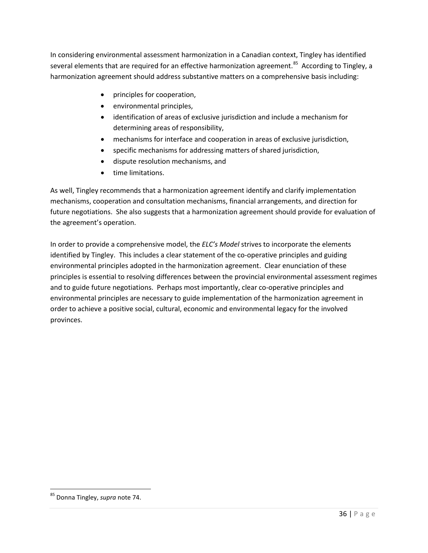In considering environmental assessment harmonization in a Canadian context, Tingley has identified several elements that are required for an effective harmonization agreement.<sup>85</sup> According to Tingley, a harmonization agreement should address substantive matters on a comprehensive basis including:

- principles for cooperation,
- environmental principles,
- identification of areas of exclusive jurisdiction and include a mechanism for determining areas of responsibility,
- mechanisms for interface and cooperation in areas of exclusive jurisdiction,
- specific mechanisms for addressing matters of shared jurisdiction,
- dispute resolution mechanisms, and
- time limitations.

As well, Tingley recommends that a harmonization agreement identify and clarify implementation mechanisms, cooperation and consultation mechanisms, financial arrangements, and direction for future negotiations. She also suggests that a harmonization agreement should provide for evaluation of the agreement's operation.

In order to provide a comprehensive model, the *ELC's Model* strives to incorporate the elements identified by Tingley. This includes a clear statement of the co-operative principles and guiding environmental principles adopted in the harmonization agreement. Clear enunciation of these principles is essential to resolving differences between the provincial environmental assessment regimes and to guide future negotiations. Perhaps most importantly, clear co-operative principles and environmental principles are necessary to guide implementation of the harmonization agreement in order to achieve a positive social, cultural, economic and environmental legacy for the involved provinces.

<span id="page-36-0"></span> <sup>85</sup> Donna Tingley, *supra* note 74.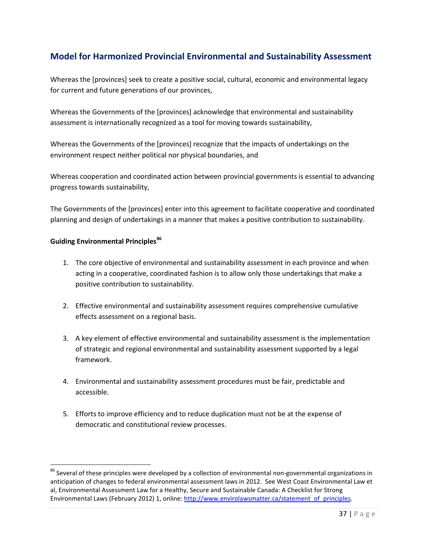# <span id="page-37-0"></span>**Model for Harmonized Provincial Environmental and Sustainability Assessment**

Whereas the [provinces] seek to create a positive social, cultural, economic and environmental legacy for current and future generations of our provinces,

Whereas the Governments of the [provinces] acknowledge that environmental and sustainability assessment is internationally recognized as a tool for moving towards sustainability,

Whereas the Governments of the [provinces] recognize that the impacts of undertakings on the environment respect neither political nor physical boundaries, and

Whereas cooperation and coordinated action between provincial governments is essential to advancing progress towards sustainability,

The Governments of the [provinces] enter into this agreement to facilitate cooperative and coordinated planning and design of undertakings in a manner that makes a positive contribution to sustainability.

#### **Guiding Environmental Principles[86](#page-37-1)**

- 1. The core objective of environmental and sustainability assessment in each province and when acting in a cooperative, coordinated fashion is to allow only those undertakings that make a positive contribution to sustainability.
- 2. Effective environmental and sustainability assessment requires comprehensive cumulative effects assessment on a regional basis.
- 3. A key element of effective environmental and sustainability assessment is the implementation of strategic and regional environmental and sustainability assessment supported by a legal framework.
- 4. Environmental and sustainability assessment procedures must be fair, predictable and accessible.
- 5. Efforts to improve efficiency and to reduce duplication must not be at the expense of democratic and constitutional review processes.

<span id="page-37-1"></span><sup>&</sup>lt;sup>86</sup> Several of these principles were developed by a collection of environmental non-governmental organizations in anticipation of changes to federal environmental assessment laws in 2012. See West Coast Environmental Law et al, Environmental Assessment Law for a Healthy, Secure and Sustainable Canada: A Checklist for Strong Environmental Laws (February 2012) 1, online[: http://www.envirolawsmatter.ca/statement\\_of\\_principles.](http://www.envirolawsmatter.ca/statement_of_principles)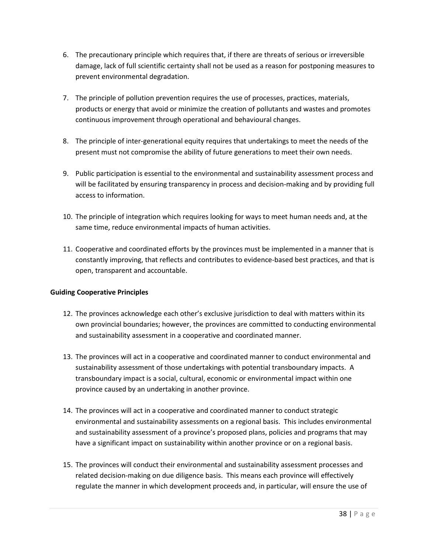- 6. The precautionary principle which requires that, if there are threats of serious or irreversible damage, lack of full scientific certainty shall not be used as a reason for postponing measures to prevent environmental degradation.
- 7. The principle of pollution prevention requires the use of processes, practices, materials, products or energy that avoid or minimize the creation of pollutants and wastes and promotes continuous improvement through operational and behavioural changes.
- 8. The principle of inter-generational equity requires that undertakings to meet the needs of the present must not compromise the ability of future generations to meet their own needs.
- 9. Public participation is essential to the environmental and sustainability assessment process and will be facilitated by ensuring transparency in process and decision-making and by providing full access to information.
- 10. The principle of integration which requires looking for ways to meet human needs and, at the same time, reduce environmental impacts of human activities.
- 11. Cooperative and coordinated efforts by the provinces must be implemented in a manner that is constantly improving, that reflects and contributes to evidence-based best practices, and that is open, transparent and accountable.

#### **Guiding Cooperative Principles**

- 12. The provinces acknowledge each other's exclusive jurisdiction to deal with matters within its own provincial boundaries; however, the provinces are committed to conducting environmental and sustainability assessment in a cooperative and coordinated manner.
- 13. The provinces will act in a cooperative and coordinated manner to conduct environmental and sustainability assessment of those undertakings with potential transboundary impacts. A transboundary impact is a social, cultural, economic or environmental impact within one province caused by an undertaking in another province.
- 14. The provinces will act in a cooperative and coordinated manner to conduct strategic environmental and sustainability assessments on a regional basis. This includes environmental and sustainability assessment of a province's proposed plans, policies and programs that may have a significant impact on sustainability within another province or on a regional basis.
- 15. The provinces will conduct their environmental and sustainability assessment processes and related decision-making on due diligence basis. This means each province will effectively regulate the manner in which development proceeds and, in particular, will ensure the use of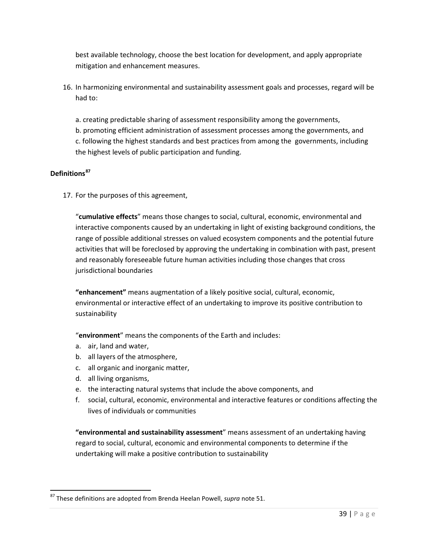best available technology, choose the best location for development, and apply appropriate mitigation and enhancement measures.

16. In harmonizing environmental and sustainability assessment goals and processes, regard will be had to:

a. creating predictable sharing of assessment responsibility among the governments, b. promoting efficient administration of assessment processes among the governments, and c. following the highest standards and best practices from among the governments, including the highest levels of public participation and funding.

#### **Definitions[87](#page-39-0)**

17. For the purposes of this agreement,

"**cumulative effects**" means those changes to social, cultural, economic, environmental and interactive components caused by an undertaking in light of existing background conditions, the range of possible additional stresses on valued ecosystem components and the potential future activities that will be foreclosed by approving the undertaking in combination with past, present and reasonably foreseeable future human activities including those changes that cross jurisdictional boundaries

**"enhancement"** means augmentation of a likely positive social, cultural, economic, environmental or interactive effect of an undertaking to improve its positive contribution to sustainability

"**environment**" means the components of the Earth and includes:

- a. air, land and water,
- b. all layers of the atmosphere,
- c. all organic and inorganic matter,
- d. all living organisms,
- e. the interacting natural systems that include the above components, and
- f. social, cultural, economic, environmental and interactive features or conditions affecting the lives of individuals or communities

**"environmental and sustainability assessment**" means assessment of an undertaking having regard to social, cultural, economic and environmental components to determine if the undertaking will make a positive contribution to sustainability

<span id="page-39-0"></span> <sup>87</sup> These definitions are adopted from Brenda Heelan Powell, *supra* note 51.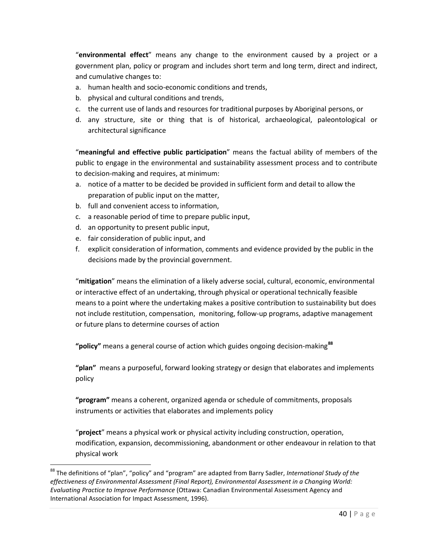"**environmental effect**" means any change to the environment caused by a project or a government plan, policy or program and includes short term and long term, direct and indirect, and cumulative changes to:

- a. human health and socio-economic conditions and trends,
- b. physical and cultural conditions and trends,
- c. the current use of lands and resources for traditional purposes by Aboriginal persons, or
- d. any structure, site or thing that is of historical, archaeological, paleontological or architectural significance

"**meaningful and effective public participation**" means the factual ability of members of the public to engage in the environmental and sustainability assessment process and to contribute to decision-making and requires, at minimum:

- a. notice of a matter to be decided be provided in sufficient form and detail to allow the preparation of public input on the matter,
- b. full and convenient access to information,
- c. a reasonable period of time to prepare public input,
- d. an opportunity to present public input,
- e. fair consideration of public input, and
- f. explicit consideration of information, comments and evidence provided by the public in the decisions made by the provincial government.

"**mitigation**" means the elimination of a likely adverse social, cultural, economic, environmental or interactive effect of an undertaking, through physical or operational technically feasible means to a point where the undertaking makes a positive contribution to sustainability but does not include restitution, compensation, monitoring, follow-up programs, adaptive management or future plans to determine courses of action

**"policy"** means a general course of action which guides ongoing decision-making**[88](#page-40-0)**

**"plan"** means a purposeful, forward looking strategy or design that elaborates and implements policy

**"program"** means a coherent, organized agenda or schedule of commitments, proposals instruments or activities that elaborates and implements policy

"**project**" means a physical work or physical activity including construction, operation, modification, expansion, decommissioning, abandonment or other endeavour in relation to that physical work

<span id="page-40-0"></span> <sup>88</sup> The definitions of "plan", "policy" and "program" are adapted from Barry Sadler, *International Study of the effectiveness of Environmental Assessment (Final Report), Environmental Assessment in a Changing World: Evaluating Practice to Improve Performance* (Ottawa: Canadian Environmental Assessment Agency and International Association for Impact Assessment, 1996).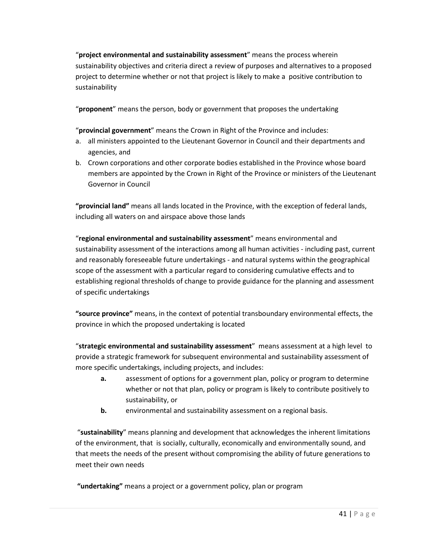"**project environmental and sustainability assessment**" means the process wherein sustainability objectives and criteria direct a review of purposes and alternatives to a proposed project to determine whether or not that project is likely to make a positive contribution to sustainability

"**proponent**" means the person, body or government that proposes the undertaking

"**provincial government**" means the Crown in Right of the Province and includes:

- a. all ministers appointed to the Lieutenant Governor in Council and their departments and agencies, and
- b. Crown corporations and other corporate bodies established in the Province whose board members are appointed by the Crown in Right of the Province or ministers of the Lieutenant Governor in Council

**"provincial land"** means all lands located in the Province, with the exception of federal lands, including all waters on and airspace above those lands

"**regional environmental and sustainability assessment**" means environmental and sustainability assessment of the interactions among all human activities - including past, current and reasonably foreseeable future undertakings - and natural systems within the geographical scope of the assessment with a particular regard to considering cumulative effects and to establishing regional thresholds of change to provide guidance for the planning and assessment of specific undertakings

**"source province"** means, in the context of potential transboundary environmental effects, the province in which the proposed undertaking is located

"**strategic environmental and sustainability assessment**" means assessment at a high level to provide a strategic framework for subsequent environmental and sustainability assessment of more specific undertakings, including projects, and includes:

- **a.** assessment of options for a government plan, policy or program to determine whether or not that plan, policy or program is likely to contribute positively to sustainability, or
- **b.** environmental and sustainability assessment on a regional basis.

"**sustainability**" means planning and development that acknowledges the inherent limitations of the environment, that is socially, culturally, economically and environmentally sound, and that meets the needs of the present without compromising the ability of future generations to meet their own needs

**"undertaking"** means a project or a government policy, plan or program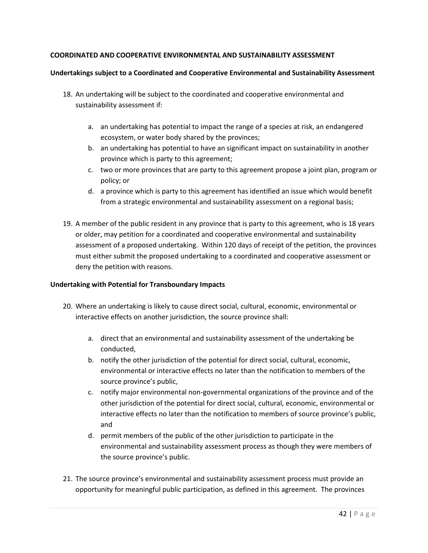#### **COORDINATED AND COOPERATIVE ENVIRONMENTAL AND SUSTAINABILITY ASSESSMENT**

#### **Undertakings subject to a Coordinated and Cooperative Environmental and Sustainability Assessment**

- 18. An undertaking will be subject to the coordinated and cooperative environmental and sustainability assessment if:
	- a. an undertaking has potential to impact the range of a species at risk, an endangered ecosystem, or water body shared by the provinces;
	- b. an undertaking has potential to have an significant impact on sustainability in another province which is party to this agreement;
	- c. two or more provinces that are party to this agreement propose a joint plan, program or policy; or
	- d. a province which is party to this agreement has identified an issue which would benefit from a strategic environmental and sustainability assessment on a regional basis;
- 19. A member of the public resident in any province that is party to this agreement, who is 18 years or older, may petition for a coordinated and cooperative environmental and sustainability assessment of a proposed undertaking. Within 120 days of receipt of the petition, the provinces must either submit the proposed undertaking to a coordinated and cooperative assessment or deny the petition with reasons.

#### **Undertaking with Potential for Transboundary Impacts**

- 20. Where an undertaking is likely to cause direct social, cultural, economic, environmental or interactive effects on another jurisdiction, the source province shall:
	- a. direct that an environmental and sustainability assessment of the undertaking be conducted,
	- b. notify the other jurisdiction of the potential for direct social, cultural, economic, environmental or interactive effects no later than the notification to members of the source province's public,
	- c. notify major environmental non-governmental organizations of the province and of the other jurisdiction of the potential for direct social, cultural, economic, environmental or interactive effects no later than the notification to members of source province's public, and
	- d. permit members of the public of the other jurisdiction to participate in the environmental and sustainability assessment process as though they were members of the source province's public.
- 21. The source province's environmental and sustainability assessment process must provide an opportunity for meaningful public participation, as defined in this agreement. The provinces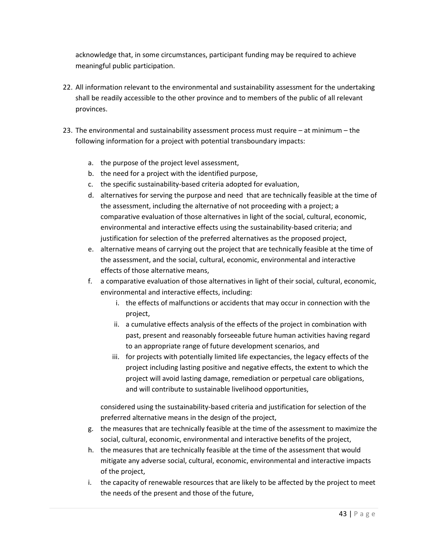acknowledge that, in some circumstances, participant funding may be required to achieve meaningful public participation.

- 22. All information relevant to the environmental and sustainability assessment for the undertaking shall be readily accessible to the other province and to members of the public of all relevant provinces.
- 23. The environmental and sustainability assessment process must require at minimum the following information for a project with potential transboundary impacts:
	- a. the purpose of the project level assessment,
	- b. the need for a project with the identified purpose,
	- c. the specific sustainability-based criteria adopted for evaluation,
	- d. alternatives for serving the purpose and need that are technically feasible at the time of the assessment, including the alternative of not proceeding with a project; a comparative evaluation of those alternatives in light of the social, cultural, economic, environmental and interactive effects using the sustainability-based criteria; and justification for selection of the preferred alternatives as the proposed project,
	- e. alternative means of carrying out the project that are technically feasible at the time of the assessment, and the social, cultural, economic, environmental and interactive effects of those alternative means,
	- f. a comparative evaluation of those alternatives in light of their social, cultural, economic, environmental and interactive effects, including:
		- i. the effects of malfunctions or accidents that may occur in connection with the project,
		- ii. a cumulative effects analysis of the effects of the project in combination with past, present and reasonably forseeable future human activities having regard to an appropriate range of future development scenarios, and
		- iii. for projects with potentially limited life expectancies, the legacy effects of the project including lasting positive and negative effects, the extent to which the project will avoid lasting damage, remediation or perpetual care obligations, and will contribute to sustainable livelihood opportunities,

considered using the sustainability-based criteria and justification for selection of the preferred alternative means in the design of the project,

- g. the measures that are technically feasible at the time of the assessment to maximize the social, cultural, economic, environmental and interactive benefits of the project,
- h. the measures that are technically feasible at the time of the assessment that would mitigate any adverse social, cultural, economic, environmental and interactive impacts of the project,
- i. the capacity of renewable resources that are likely to be affected by the project to meet the needs of the present and those of the future,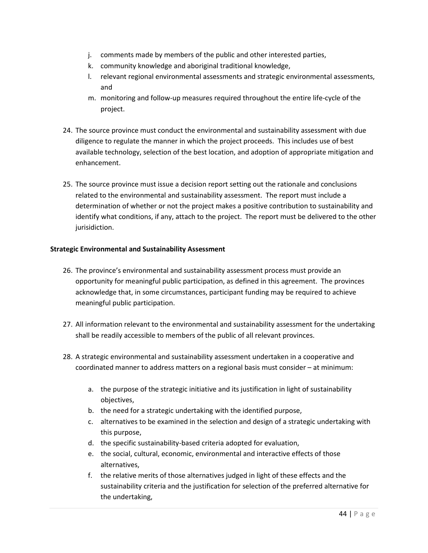- j. comments made by members of the public and other interested parties,
- k. community knowledge and aboriginal traditional knowledge,
- l. relevant regional environmental assessments and strategic environmental assessments, and
- m. monitoring and follow-up measures required throughout the entire life-cycle of the project.
- 24. The source province must conduct the environmental and sustainability assessment with due diligence to regulate the manner in which the project proceeds. This includes use of best available technology, selection of the best location, and adoption of appropriate mitigation and enhancement.
- 25. The source province must issue a decision report setting out the rationale and conclusions related to the environmental and sustainability assessment. The report must include a determination of whether or not the project makes a positive contribution to sustainability and identify what conditions, if any, attach to the project. The report must be delivered to the other jurisidiction.

#### **Strategic Environmental and Sustainability Assessment**

- 26. The province's environmental and sustainability assessment process must provide an opportunity for meaningful public participation, as defined in this agreement. The provinces acknowledge that, in some circumstances, participant funding may be required to achieve meaningful public participation.
- 27. All information relevant to the environmental and sustainability assessment for the undertaking shall be readily accessible to members of the public of all relevant provinces.
- 28. A strategic environmental and sustainability assessment undertaken in a cooperative and coordinated manner to address matters on a regional basis must consider – at minimum:
	- a. the purpose of the strategic initiative and its justification in light of sustainability objectives,
	- b. the need for a strategic undertaking with the identified purpose,
	- c. alternatives to be examined in the selection and design of a strategic undertaking with this purpose,
	- d. the specific sustainability-based criteria adopted for evaluation,
	- e. the social, cultural, economic, environmental and interactive effects of those alternatives,
	- f. the relative merits of those alternatives judged in light of these effects and the sustainability criteria and the justification for selection of the preferred alternative for the undertaking,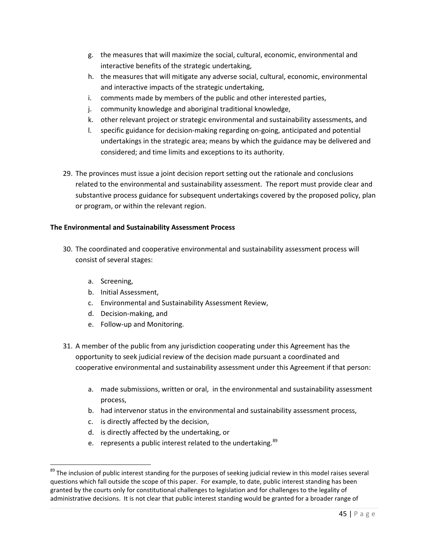- g. the measures that will maximize the social, cultural, economic, environmental and interactive benefits of the strategic undertaking,
- h. the measures that will mitigate any adverse social, cultural, economic, environmental and interactive impacts of the strategic undertaking,
- i. comments made by members of the public and other interested parties,
- j. community knowledge and aboriginal traditional knowledge,
- k. other relevant project or strategic environmental and sustainability assessments, and
- l. specific guidance for decision-making regarding on-going, anticipated and potential undertakings in the strategic area; means by which the guidance may be delivered and considered; and time limits and exceptions to its authority.
- 29. The provinces must issue a joint decision report setting out the rationale and conclusions related to the environmental and sustainability assessment. The report must provide clear and substantive process guidance for subsequent undertakings covered by the proposed policy, plan or program, or within the relevant region.

#### **The Environmental and Sustainability Assessment Process**

- 30. The coordinated and cooperative environmental and sustainability assessment process will consist of several stages:
	- a. Screening,
	- b. Initial Assessment,
	- c. Environmental and Sustainability Assessment Review,
	- d. Decision-making, and
	- e. Follow-up and Monitoring.
- 31. A member of the public from any jurisdiction cooperating under this Agreement has the opportunity to seek judicial review of the decision made pursuant a coordinated and cooperative environmental and sustainability assessment under this Agreement if that person:
	- a. made submissions, written or oral, in the environmental and sustainability assessment process,
	- b. had intervenor status in the environmental and sustainability assessment process,
	- c. is directly affected by the decision,
	- d. is directly affected by the undertaking, or
	- e. represents a public interest related to the undertaking.<sup>[89](#page-45-0)</sup>

<span id="page-45-0"></span><sup>&</sup>lt;sup>89</sup> The inclusion of public interest standing for the purposes of seeking judicial review in this model raises several questions which fall outside the scope of this paper. For example, to date, public interest standing has been granted by the courts only for constitutional challenges to legislation and for challenges to the legality of administrative decisions. It is not clear that public interest standing would be granted for a broader range of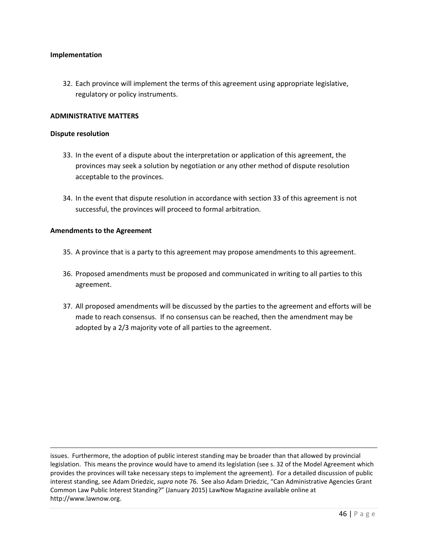#### **Implementation**

32. Each province will implement the terms of this agreement using appropriate legislative, regulatory or policy instruments.

#### **ADMINISTRATIVE MATTERS**

#### **Dispute resolution**

 $\overline{\phantom{a}}$ 

- 33. In the event of a dispute about the interpretation or application of this agreement, the provinces may seek a solution by negotiation or any other method of dispute resolution acceptable to the provinces.
- 34. In the event that dispute resolution in accordance with section 33 of this agreement is not successful, the provinces will proceed to formal arbitration.

#### **Amendments to the Agreement**

- 35. A province that is a party to this agreement may propose amendments to this agreement.
- 36. Proposed amendments must be proposed and communicated in writing to all parties to this agreement.
- 37. All proposed amendments will be discussed by the parties to the agreement and efforts will be made to reach consensus. If no consensus can be reached, then the amendment may be adopted by a 2/3 majority vote of all parties to the agreement.

issues. Furthermore, the adoption of public interest standing may be broader than that allowed by provincial legislation. This means the province would have to amend its legislation (see s. 32 of the Model Agreement which provides the provinces will take necessary steps to implement the agreement). For a detailed discussion of public interest standing, see Adam Driedzic, *supra* note 76. See also Adam Driedzic, "Can Administrative Agencies Grant Common Law Public Interest Standing?" (January 2015) LawNow Magazine available online at http://www.lawnow.org.